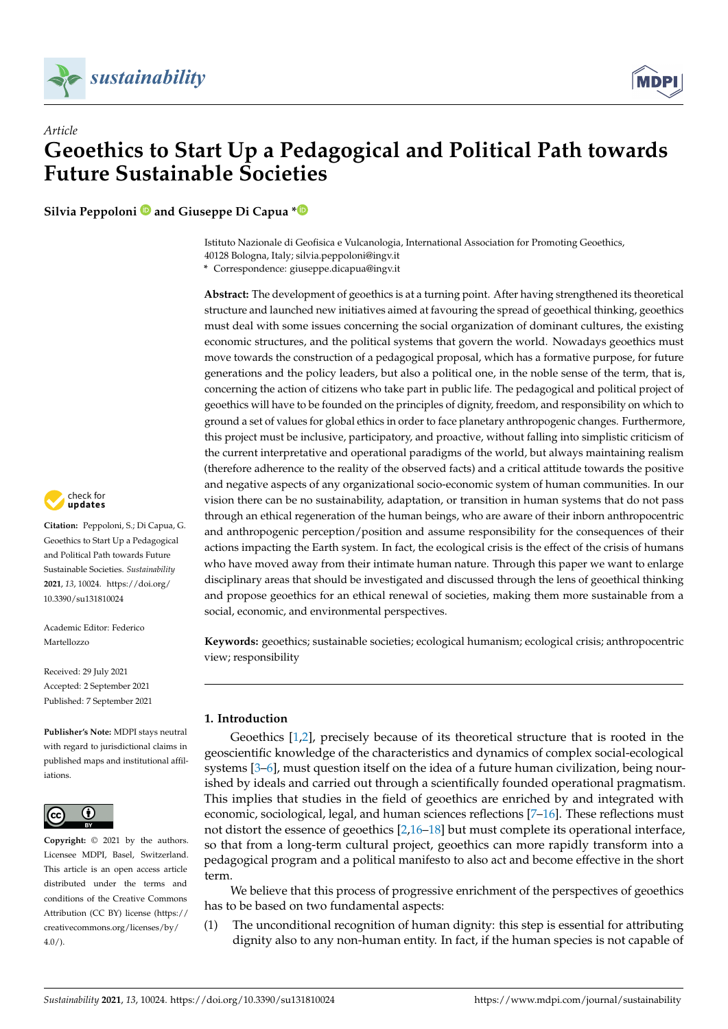



**Silvia Peppoloni and Giuseppe Di Capua [\\*](https://orcid.org/0000-0002-1254-3200)**

Istituto Nazionale di Geofisica e Vulcanologia, International Association for Promoting Geoethics, 40128 Bologna, Italy; silvia.peppoloni@ingv.it

**\*** Correspondence: giuseppe.dicapua@ingv.it

**Abstract:** The development of geoethics is at a turning point. After having strengthened its theoretical structure and launched new initiatives aimed at favouring the spread of geoethical thinking, geoethics must deal with some issues concerning the social organization of dominant cultures, the existing economic structures, and the political systems that govern the world. Nowadays geoethics must move towards the construction of a pedagogical proposal, which has a formative purpose, for future generations and the policy leaders, but also a political one, in the noble sense of the term, that is, concerning the action of citizens who take part in public life. The pedagogical and political project of geoethics will have to be founded on the principles of dignity, freedom, and responsibility on which to ground a set of values for global ethics in order to face planetary anthropogenic changes. Furthermore, this project must be inclusive, participatory, and proactive, without falling into simplistic criticism of the current interpretative and operational paradigms of the world, but always maintaining realism (therefore adherence to the reality of the observed facts) and a critical attitude towards the positive and negative aspects of any organizational socio-economic system of human communities. In our vision there can be no sustainability, adaptation, or transition in human systems that do not pass through an ethical regeneration of the human beings, who are aware of their inborn anthropocentric and anthropogenic perception/position and assume responsibility for the consequences of their actions impacting the Earth system. In fact, the ecological crisis is the effect of the crisis of humans who have moved away from their intimate human nature. Through this paper we want to enlarge disciplinary areas that should be investigated and discussed through the lens of geoethical thinking and propose geoethics for an ethical renewal of societies, making them more sustainable from a social, economic, and environmental perspectives.

**Keywords:** geoethics; sustainable societies; ecological humanism; ecological crisis; anthropocentric view; responsibility

# **1. Introduction**

Geoethics [\[1,](#page-15-0)[2\]](#page-15-1), precisely because of its theoretical structure that is rooted in the geoscientific knowledge of the characteristics and dynamics of complex social-ecological systems [\[3](#page-15-2)[–6\]](#page-15-3), must question itself on the idea of a future human civilization, being nourished by ideals and carried out through a scientifically founded operational pragmatism. This implies that studies in the field of geoethics are enriched by and integrated with economic, sociological, legal, and human sciences reflections [\[7](#page-15-4)[–16\]](#page-16-0). These reflections must not distort the essence of geoethics [\[2,](#page-15-1)[16–](#page-16-0)[18\]](#page-16-1) but must complete its operational interface, so that from a long-term cultural project, geoethics can more rapidly transform into a pedagogical program and a political manifesto to also act and become effective in the short term.

We believe that this process of progressive enrichment of the perspectives of geoethics has to be based on two fundamental aspects:

(1) The unconditional recognition of human dignity: this step is essential for attributing dignity also to any non-human entity. In fact, if the human species is not capable of



**Citation:** Peppoloni, S.; Di Capua, G. Geoethics to Start Up a Pedagogical and Political Path towards Future Sustainable Societies. *Sustainability* **2021**, *13*, 10024. [https://doi.org/](https://doi.org/10.3390/su131810024) [10.3390/su131810024](https://doi.org/10.3390/su131810024)

Academic Editor: Federico Martellozzo

Received: 29 July 2021 Accepted: 2 September 2021 Published: 7 September 2021

**Publisher's Note:** MDPI stays neutral with regard to jurisdictional claims in published maps and institutional affiliations.



**Copyright:** © 2021 by the authors. Licensee MDPI, Basel, Switzerland. This article is an open access article distributed under the terms and conditions of the Creative Commons Attribution (CC BY) license (https:/[/](https://creativecommons.org/licenses/by/4.0/) [creativecommons.org/licenses/by/](https://creativecommons.org/licenses/by/4.0/)  $4.0/$ ).

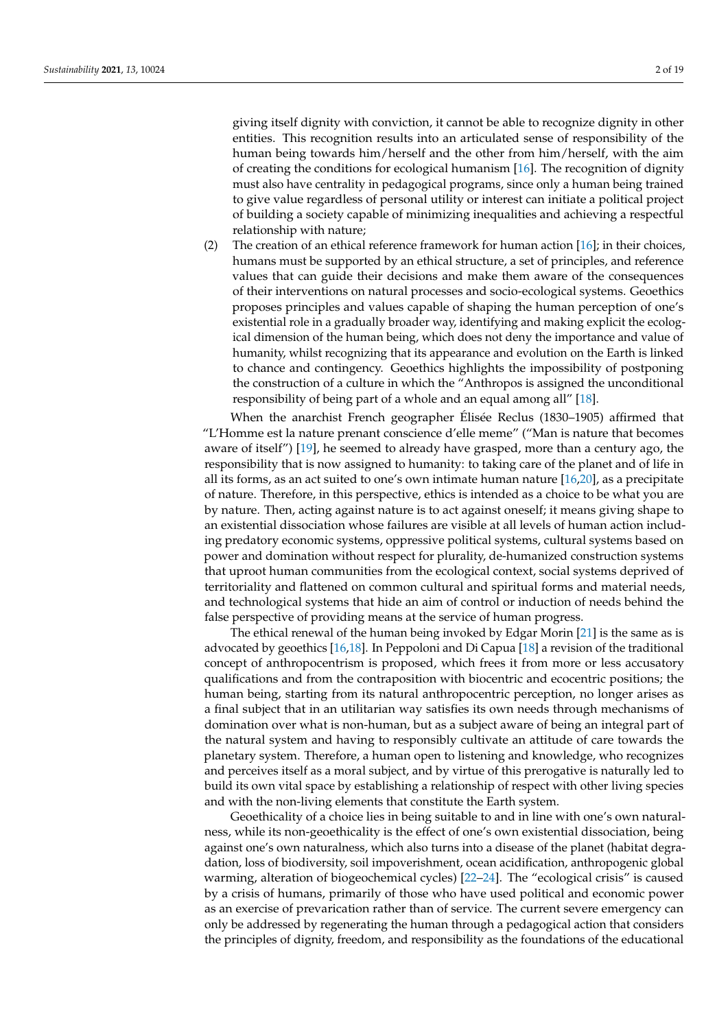giving itself dignity with conviction, it cannot be able to recognize dignity in other entities. This recognition results into an articulated sense of responsibility of the human being towards him/herself and the other from him/herself, with the aim of creating the conditions for ecological humanism [\[16\]](#page-16-0). The recognition of dignity must also have centrality in pedagogical programs, since only a human being trained to give value regardless of personal utility or interest can initiate a political project of building a society capable of minimizing inequalities and achieving a respectful relationship with nature;

(2) The creation of an ethical reference framework for human action [\[16\]](#page-16-0); in their choices, humans must be supported by an ethical structure, a set of principles, and reference values that can guide their decisions and make them aware of the consequences of their interventions on natural processes and socio-ecological systems. Geoethics proposes principles and values capable of shaping the human perception of one's existential role in a gradually broader way, identifying and making explicit the ecological dimension of the human being, which does not deny the importance and value of humanity, whilst recognizing that its appearance and evolution on the Earth is linked to chance and contingency. Geoethics highlights the impossibility of postponing the construction of a culture in which the "Anthropos is assigned the unconditional responsibility of being part of a whole and an equal among all" [\[18\]](#page-16-1).

When the anarchist French geographer Élisée Reclus (1830–1905) affirmed that "L'Homme est la nature prenant conscience d'elle meme" ("Man is nature that becomes aware of itself") [\[19\]](#page-16-2), he seemed to already have grasped, more than a century ago, the responsibility that is now assigned to humanity: to taking care of the planet and of life in all its forms, as an act suited to one's own intimate human nature [\[16](#page-16-0)[,20\]](#page-16-3), as a precipitate of nature. Therefore, in this perspective, ethics is intended as a choice to be what you are by nature. Then, acting against nature is to act against oneself; it means giving shape to an existential dissociation whose failures are visible at all levels of human action including predatory economic systems, oppressive political systems, cultural systems based on power and domination without respect for plurality, de-humanized construction systems that uproot human communities from the ecological context, social systems deprived of territoriality and flattened on common cultural and spiritual forms and material needs, and technological systems that hide an aim of control or induction of needs behind the false perspective of providing means at the service of human progress.

The ethical renewal of the human being invoked by Edgar Morin [\[21\]](#page-16-4) is the same as is advocated by geoethics [\[16,](#page-16-0)[18\]](#page-16-1). In Peppoloni and Di Capua [\[18\]](#page-16-1) a revision of the traditional concept of anthropocentrism is proposed, which frees it from more or less accusatory qualifications and from the contraposition with biocentric and ecocentric positions; the human being, starting from its natural anthropocentric perception, no longer arises as a final subject that in an utilitarian way satisfies its own needs through mechanisms of domination over what is non-human, but as a subject aware of being an integral part of the natural system and having to responsibly cultivate an attitude of care towards the planetary system. Therefore, a human open to listening and knowledge, who recognizes and perceives itself as a moral subject, and by virtue of this prerogative is naturally led to build its own vital space by establishing a relationship of respect with other living species and with the non-living elements that constitute the Earth system.

Geoethicality of a choice lies in being suitable to and in line with one's own naturalness, while its non-geoethicality is the effect of one's own existential dissociation, being against one's own naturalness, which also turns into a disease of the planet (habitat degradation, loss of biodiversity, soil impoverishment, ocean acidification, anthropogenic global warming, alteration of biogeochemical cycles) [\[22](#page-16-5)[–24\]](#page-16-6). The "ecological crisis" is caused by a crisis of humans, primarily of those who have used political and economic power as an exercise of prevarication rather than of service. The current severe emergency can only be addressed by regenerating the human through a pedagogical action that considers the principles of dignity, freedom, and responsibility as the foundations of the educational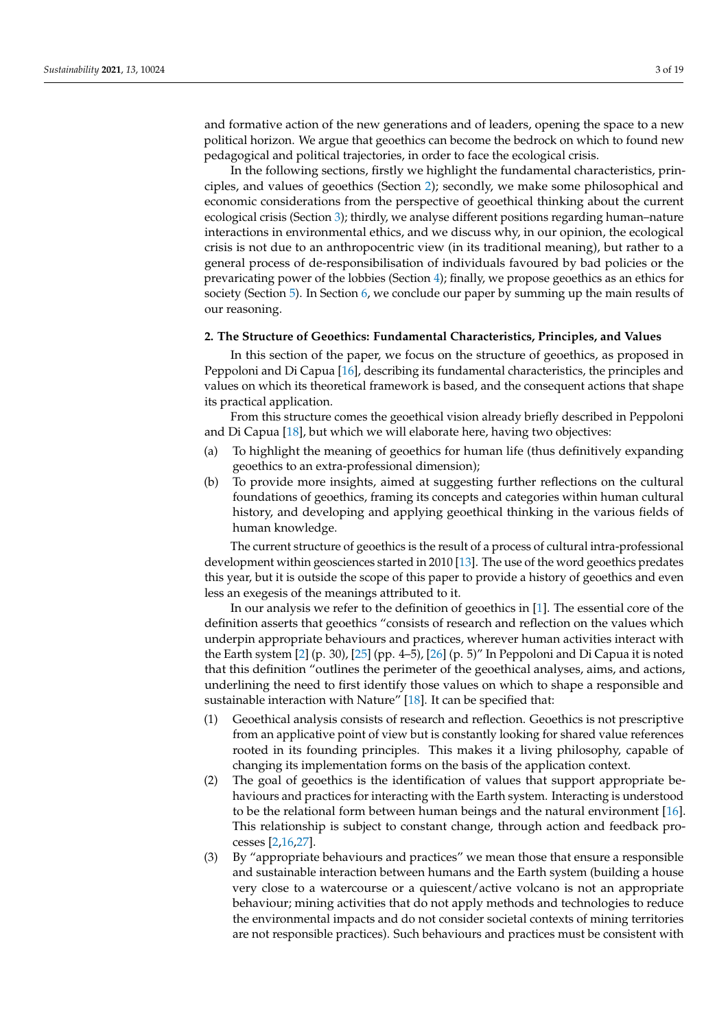and formative action of the new generations and of leaders, opening the space to a new political horizon. We argue that geoethics can become the bedrock on which to found new pedagogical and political trajectories, in order to face the ecological crisis.

In the following sections, firstly we highlight the fundamental characteristics, principles, and values of geoethics (Section [2\)](#page-2-0); secondly, we make some philosophical and economic considerations from the perspective of geoethical thinking about the current ecological crisis (Section [3\)](#page-8-0); thirdly, we analyse different positions regarding human–nature interactions in environmental ethics, and we discuss why, in our opinion, the ecological crisis is not due to an anthropocentric view (in its traditional meaning), but rather to a general process of de-responsibilisation of individuals favoured by bad policies or the prevaricating power of the lobbies (Section [4\)](#page-10-0); finally, we propose geoethics as an ethics for society (Section [5\)](#page-13-0). In Section [6,](#page-14-0) we conclude our paper by summing up the main results of our reasoning.

#### <span id="page-2-0"></span>**2. The Structure of Geoethics: Fundamental Characteristics, Principles, and Values**

In this section of the paper, we focus on the structure of geoethics, as proposed in Peppoloni and Di Capua [\[16\]](#page-16-0), describing its fundamental characteristics, the principles and values on which its theoretical framework is based, and the consequent actions that shape its practical application.

From this structure comes the geoethical vision already briefly described in Peppoloni and Di Capua [\[18\]](#page-16-1), but which we will elaborate here, having two objectives:

- (a) To highlight the meaning of geoethics for human life (thus definitively expanding geoethics to an extra-professional dimension);
- (b) To provide more insights, aimed at suggesting further reflections on the cultural foundations of geoethics, framing its concepts and categories within human cultural history, and developing and applying geoethical thinking in the various fields of human knowledge.

The current structure of geoethics is the result of a process of cultural intra-professional development within geosciences started in 2010 [\[13\]](#page-16-7). The use of the word geoethics predates this year, but it is outside the scope of this paper to provide a history of geoethics and even less an exegesis of the meanings attributed to it.

In our analysis we refer to the definition of geoethics in [\[1\]](#page-15-0). The essential core of the definition asserts that geoethics "consists of research and reflection on the values which underpin appropriate behaviours and practices, wherever human activities interact with the Earth system [\[2\]](#page-15-1) (p. 30), [\[25\]](#page-16-8) (pp. 4–5), [\[26\]](#page-16-9) (p. 5)" In Peppoloni and Di Capua it is noted that this definition "outlines the perimeter of the geoethical analyses, aims, and actions, underlining the need to first identify those values on which to shape a responsible and sustainable interaction with Nature" [\[18\]](#page-16-1). It can be specified that:

- (1) Geoethical analysis consists of research and reflection. Geoethics is not prescriptive from an applicative point of view but is constantly looking for shared value references rooted in its founding principles. This makes it a living philosophy, capable of changing its implementation forms on the basis of the application context.
- (2) The goal of geoethics is the identification of values that support appropriate behaviours and practices for interacting with the Earth system. Interacting is understood to be the relational form between human beings and the natural environment [\[16\]](#page-16-0). This relationship is subject to constant change, through action and feedback processes [\[2](#page-15-1)[,16,](#page-16-0)[27\]](#page-16-10).
- (3) By "appropriate behaviours and practices" we mean those that ensure a responsible and sustainable interaction between humans and the Earth system (building a house very close to a watercourse or a quiescent/active volcano is not an appropriate behaviour; mining activities that do not apply methods and technologies to reduce the environmental impacts and do not consider societal contexts of mining territories are not responsible practices). Such behaviours and practices must be consistent with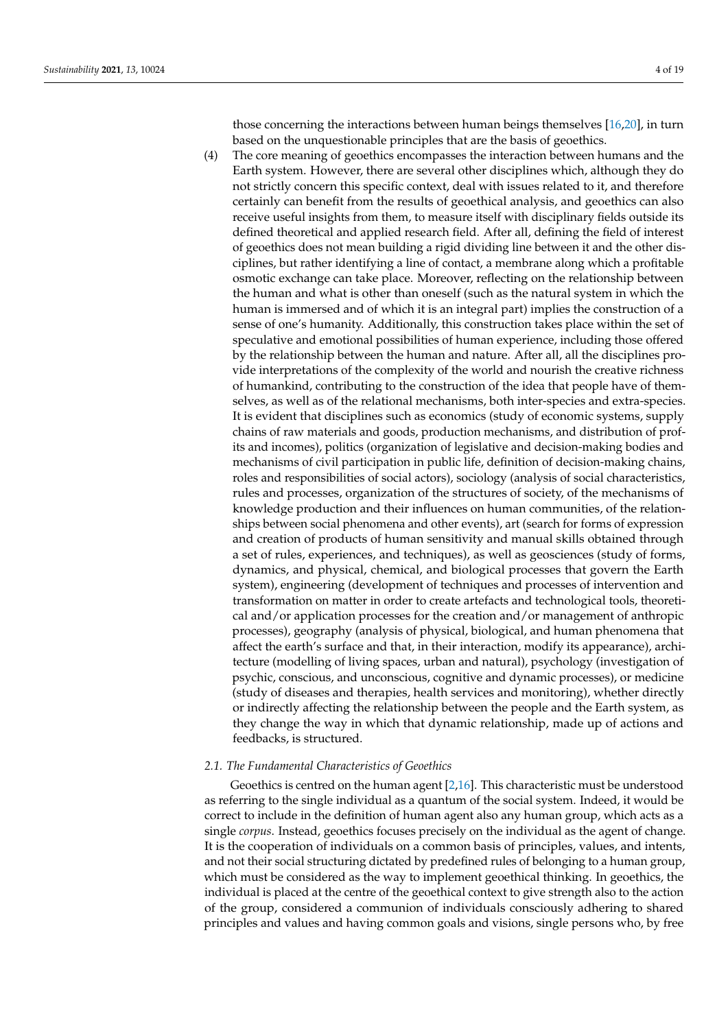those concerning the interactions between human beings themselves [\[16](#page-16-0)[,20\]](#page-16-3), in turn based on the unquestionable principles that are the basis of geoethics.

(4) The core meaning of geoethics encompasses the interaction between humans and the Earth system. However, there are several other disciplines which, although they do not strictly concern this specific context, deal with issues related to it, and therefore certainly can benefit from the results of geoethical analysis, and geoethics can also receive useful insights from them, to measure itself with disciplinary fields outside its defined theoretical and applied research field. After all, defining the field of interest of geoethics does not mean building a rigid dividing line between it and the other disciplines, but rather identifying a line of contact, a membrane along which a profitable osmotic exchange can take place. Moreover, reflecting on the relationship between the human and what is other than oneself (such as the natural system in which the human is immersed and of which it is an integral part) implies the construction of a sense of one's humanity. Additionally, this construction takes place within the set of speculative and emotional possibilities of human experience, including those offered by the relationship between the human and nature. After all, all the disciplines provide interpretations of the complexity of the world and nourish the creative richness of humankind, contributing to the construction of the idea that people have of themselves, as well as of the relational mechanisms, both inter-species and extra-species. It is evident that disciplines such as economics (study of economic systems, supply chains of raw materials and goods, production mechanisms, and distribution of profits and incomes), politics (organization of legislative and decision-making bodies and mechanisms of civil participation in public life, definition of decision-making chains, roles and responsibilities of social actors), sociology (analysis of social characteristics, rules and processes, organization of the structures of society, of the mechanisms of knowledge production and their influences on human communities, of the relationships between social phenomena and other events), art (search for forms of expression and creation of products of human sensitivity and manual skills obtained through a set of rules, experiences, and techniques), as well as geosciences (study of forms, dynamics, and physical, chemical, and biological processes that govern the Earth system), engineering (development of techniques and processes of intervention and transformation on matter in order to create artefacts and technological tools, theoretical and/or application processes for the creation and/or management of anthropic processes), geography (analysis of physical, biological, and human phenomena that affect the earth's surface and that, in their interaction, modify its appearance), architecture (modelling of living spaces, urban and natural), psychology (investigation of psychic, conscious, and unconscious, cognitive and dynamic processes), or medicine (study of diseases and therapies, health services and monitoring), whether directly or indirectly affecting the relationship between the people and the Earth system, as they change the way in which that dynamic relationship, made up of actions and feedbacks, is structured.

#### <span id="page-3-0"></span>*2.1. The Fundamental Characteristics of Geoethics*

Geoethics is centred on the human agent [\[2,](#page-15-1)[16\]](#page-16-0). This characteristic must be understood as referring to the single individual as a quantum of the social system. Indeed, it would be correct to include in the definition of human agent also any human group, which acts as a single *corpus*. Instead, geoethics focuses precisely on the individual as the agent of change. It is the cooperation of individuals on a common basis of principles, values, and intents, and not their social structuring dictated by predefined rules of belonging to a human group, which must be considered as the way to implement geoethical thinking. In geoethics, the individual is placed at the centre of the geoethical context to give strength also to the action of the group, considered a communion of individuals consciously adhering to shared principles and values and having common goals and visions, single persons who, by free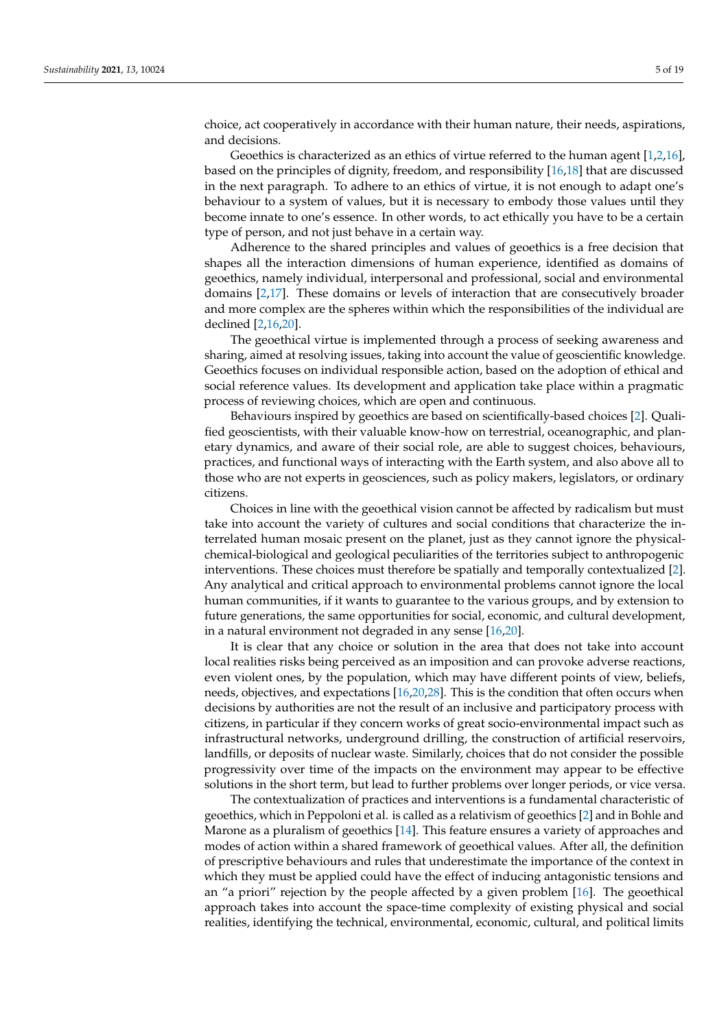choice, act cooperatively in accordance with their human nature, their needs, aspirations, and decisions.

Geoethics is characterized as an ethics of virtue referred to the human agent [\[1,](#page-15-0)[2,](#page-15-1)[16\]](#page-16-0), based on the principles of dignity, freedom, and responsibility [\[16](#page-16-0)[,18\]](#page-16-1) that are discussed in the next paragraph. To adhere to an ethics of virtue, it is not enough to adapt one's behaviour to a system of values, but it is necessary to embody those values until they become innate to one's essence. In other words, to act ethically you have to be a certain type of person, and not just behave in a certain way.

Adherence to the shared principles and values of geoethics is a free decision that shapes all the interaction dimensions of human experience, identified as domains of geoethics, namely individual, interpersonal and professional, social and environmental domains [\[2,](#page-15-1)[17\]](#page-16-11). These domains or levels of interaction that are consecutively broader and more complex are the spheres within which the responsibilities of the individual are declined [\[2](#page-15-1)[,16,](#page-16-0)[20\]](#page-16-3).

The geoethical virtue is implemented through a process of seeking awareness and sharing, aimed at resolving issues, taking into account the value of geoscientific knowledge. Geoethics focuses on individual responsible action, based on the adoption of ethical and social reference values. Its development and application take place within a pragmatic process of reviewing choices, which are open and continuous.

Behaviours inspired by geoethics are based on scientifically-based choices [\[2\]](#page-15-1). Qualified geoscientists, with their valuable know-how on terrestrial, oceanographic, and planetary dynamics, and aware of their social role, are able to suggest choices, behaviours, practices, and functional ways of interacting with the Earth system, and also above all to those who are not experts in geosciences, such as policy makers, legislators, or ordinary citizens.

Choices in line with the geoethical vision cannot be affected by radicalism but must take into account the variety of cultures and social conditions that characterize the interrelated human mosaic present on the planet, just as they cannot ignore the physicalchemical-biological and geological peculiarities of the territories subject to anthropogenic interventions. These choices must therefore be spatially and temporally contextualized [\[2\]](#page-15-1). Any analytical and critical approach to environmental problems cannot ignore the local human communities, if it wants to guarantee to the various groups, and by extension to future generations, the same opportunities for social, economic, and cultural development, in a natural environment not degraded in any sense [\[16,](#page-16-0)[20\]](#page-16-3).

It is clear that any choice or solution in the area that does not take into account local realities risks being perceived as an imposition and can provoke adverse reactions, even violent ones, by the population, which may have different points of view, beliefs, needs, objectives, and expectations [\[16](#page-16-0)[,20,](#page-16-3)[28\]](#page-16-12). This is the condition that often occurs when decisions by authorities are not the result of an inclusive and participatory process with citizens, in particular if they concern works of great socio-environmental impact such as infrastructural networks, underground drilling, the construction of artificial reservoirs, landfills, or deposits of nuclear waste. Similarly, choices that do not consider the possible progressivity over time of the impacts on the environment may appear to be effective solutions in the short term, but lead to further problems over longer periods, or vice versa.

The contextualization of practices and interventions is a fundamental characteristic of geoethics, which in Peppoloni et al. is called as a relativism of geoethics [\[2\]](#page-15-1) and in Bohle and Marone as a pluralism of geoethics [\[14\]](#page-16-13). This feature ensures a variety of approaches and modes of action within a shared framework of geoethical values. After all, the definition of prescriptive behaviours and rules that underestimate the importance of the context in which they must be applied could have the effect of inducing antagonistic tensions and an "a priori" rejection by the people affected by a given problem [\[16\]](#page-16-0). The geoethical approach takes into account the space-time complexity of existing physical and social realities, identifying the technical, environmental, economic, cultural, and political limits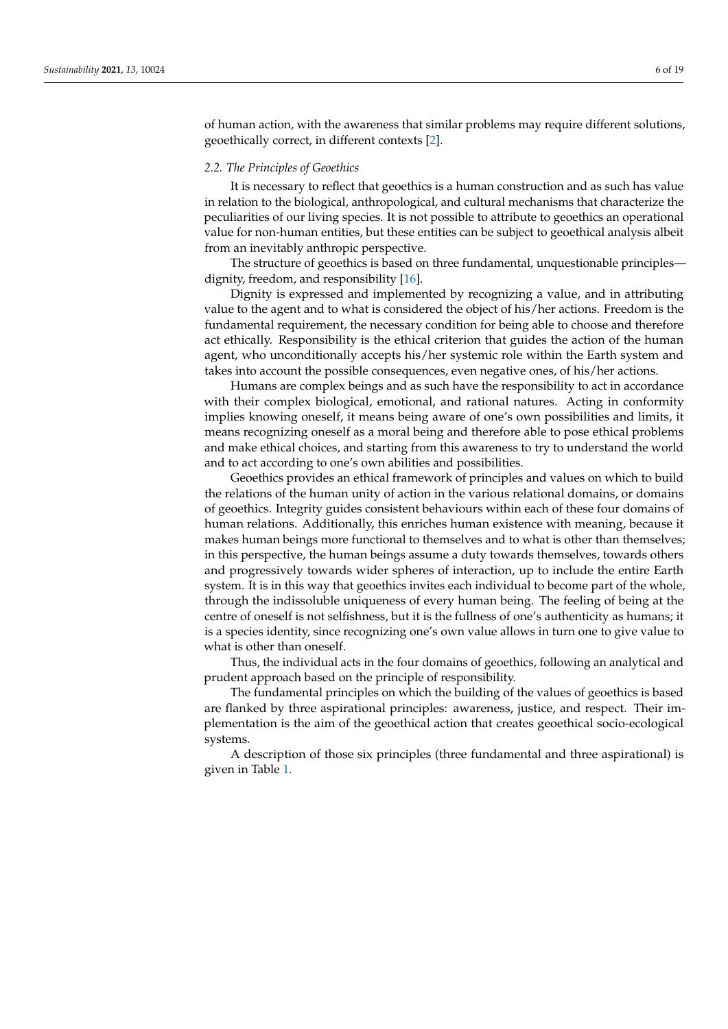of human action, with the awareness that similar problems may require different solutions, geoethically correct, in different contexts [\[2\]](#page-15-1).

## *2.2. The Principles of Geoethics*

It is necessary to reflect that geoethics is a human construction and as such has value in relation to the biological, anthropological, and cultural mechanisms that characterize the peculiarities of our living species. It is not possible to attribute to geoethics an operational value for non-human entities, but these entities can be subject to geoethical analysis albeit from an inevitably anthropic perspective.

The structure of geoethics is based on three fundamental, unquestionable principles dignity, freedom, and responsibility [\[16\]](#page-16-0).

Dignity is expressed and implemented by recognizing a value, and in attributing value to the agent and to what is considered the object of his/her actions. Freedom is the fundamental requirement, the necessary condition for being able to choose and therefore act ethically. Responsibility is the ethical criterion that guides the action of the human agent, who unconditionally accepts his/her systemic role within the Earth system and takes into account the possible consequences, even negative ones, of his/her actions.

Humans are complex beings and as such have the responsibility to act in accordance with their complex biological, emotional, and rational natures. Acting in conformity implies knowing oneself, it means being aware of one's own possibilities and limits, it means recognizing oneself as a moral being and therefore able to pose ethical problems and make ethical choices, and starting from this awareness to try to understand the world and to act according to one's own abilities and possibilities.

Geoethics provides an ethical framework of principles and values on which to build the relations of the human unity of action in the various relational domains, or domains of geoethics. Integrity guides consistent behaviours within each of these four domains of human relations. Additionally, this enriches human existence with meaning, because it makes human beings more functional to themselves and to what is other than themselves; in this perspective, the human beings assume a duty towards themselves, towards others and progressively towards wider spheres of interaction, up to include the entire Earth system. It is in this way that geoethics invites each individual to become part of the whole, through the indissoluble uniqueness of every human being. The feeling of being at the centre of oneself is not selfishness, but it is the fullness of one's authenticity as humans; it is a species identity, since recognizing one's own value allows in turn one to give value to what is other than oneself.

Thus, the individual acts in the four domains of geoethics, following an analytical and prudent approach based on the principle of responsibility.

The fundamental principles on which the building of the values of geoethics is based are flanked by three aspirational principles: awareness, justice, and respect. Their implementation is the aim of the geoethical action that creates geoethical socio-ecological systems.

A description of those six principles (three fundamental and three aspirational) is given in Table [1.](#page-6-0)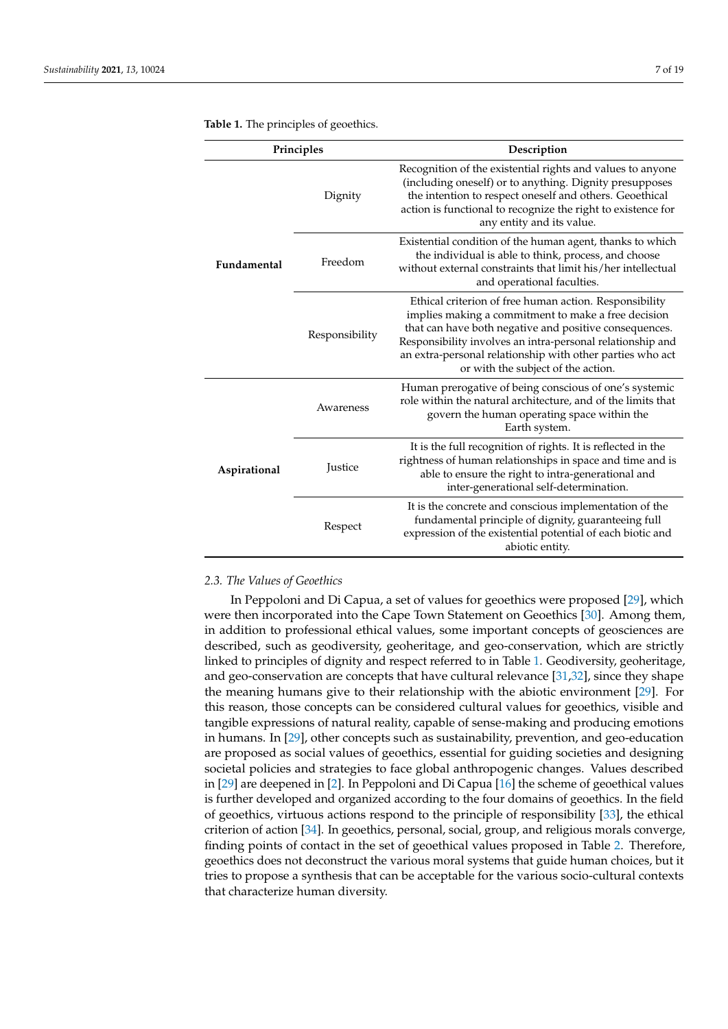| Principles   |                | Description                                                                                                                                                                                                                                                                                                                              |  |  |
|--------------|----------------|------------------------------------------------------------------------------------------------------------------------------------------------------------------------------------------------------------------------------------------------------------------------------------------------------------------------------------------|--|--|
| Fundamental  | Dignity        | Recognition of the existential rights and values to anyone<br>(including oneself) or to anything. Dignity presupposes<br>the intention to respect oneself and others. Geoethical<br>action is functional to recognize the right to existence for<br>any entity and its value.                                                            |  |  |
|              | Freedom        | Existential condition of the human agent, thanks to which<br>the individual is able to think, process, and choose<br>without external constraints that limit his/her intellectual<br>and operational faculties.                                                                                                                          |  |  |
|              | Responsibility | Ethical criterion of free human action. Responsibility<br>implies making a commitment to make a free decision<br>that can have both negative and positive consequences.<br>Responsibility involves an intra-personal relationship and<br>an extra-personal relationship with other parties who act<br>or with the subject of the action. |  |  |
| Aspirational | Awareness      | Human prerogative of being conscious of one's systemic<br>role within the natural architecture, and of the limits that<br>govern the human operating space within the<br>Earth system.                                                                                                                                                   |  |  |
|              | Justice        | It is the full recognition of rights. It is reflected in the<br>rightness of human relationships in space and time and is<br>able to ensure the right to intra-generational and<br>inter-generational self-determination.                                                                                                                |  |  |
|              | Respect        | It is the concrete and conscious implementation of the<br>fundamental principle of dignity, guaranteeing full<br>expression of the existential potential of each biotic and<br>abiotic entity.                                                                                                                                           |  |  |

<span id="page-6-0"></span>**Table 1.** The principles of geoethics.

## *2.3. The Values of Geoethics*

In Peppoloni and Di Capua, a set of values for geoethics were proposed [\[29\]](#page-16-14), which were then incorporated into the Cape Town Statement on Geoethics [\[30\]](#page-16-15). Among them, in addition to professional ethical values, some important concepts of geosciences are described, such as geodiversity, geoheritage, and geo-conservation, which are strictly linked to principles of dignity and respect referred to in Table [1.](#page-6-0) Geodiversity, geoheritage, and geo-conservation are concepts that have cultural relevance [\[31](#page-16-16)[,32\]](#page-16-17), since they shape the meaning humans give to their relationship with the abiotic environment [\[29\]](#page-16-14). For this reason, those concepts can be considered cultural values for geoethics, visible and tangible expressions of natural reality, capable of sense-making and producing emotions in humans. In [\[29\]](#page-16-14), other concepts such as sustainability, prevention, and geo-education are proposed as social values of geoethics, essential for guiding societies and designing societal policies and strategies to face global anthropogenic changes. Values described in [\[29\]](#page-16-14) are deepened in [\[2\]](#page-15-1). In Peppoloni and Di Capua [\[16\]](#page-16-0) the scheme of geoethical values is further developed and organized according to the four domains of geoethics. In the field of geoethics, virtuous actions respond to the principle of responsibility [\[33\]](#page-16-18), the ethical criterion of action [\[34\]](#page-16-19). In geoethics, personal, social, group, and religious morals converge, finding points of contact in the set of geoethical values proposed in Table [2.](#page-7-0) Therefore, geoethics does not deconstruct the various moral systems that guide human choices, but it tries to propose a synthesis that can be acceptable for the various socio-cultural contexts that characterize human diversity.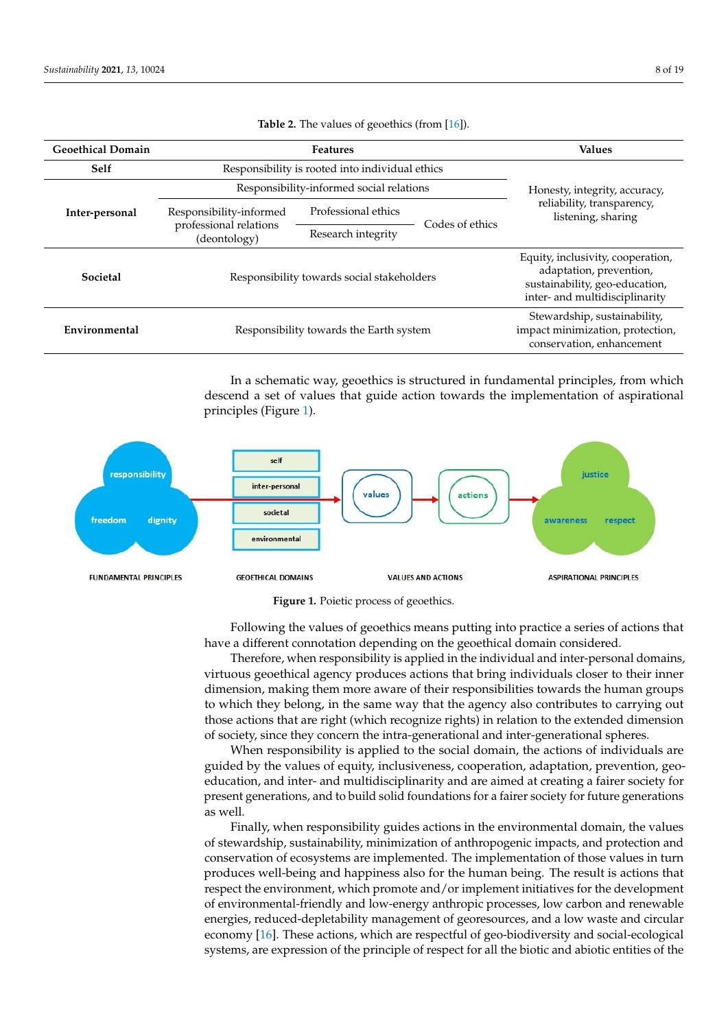<span id="page-7-0"></span>

| <b>Geoethical Domain</b> | <b>Features</b>                                                   |                     |                 | <b>Values</b>                                                                                                                    |
|--------------------------|-------------------------------------------------------------------|---------------------|-----------------|----------------------------------------------------------------------------------------------------------------------------------|
| <b>Self</b>              | Responsibility is rooted into individual ethics                   |                     |                 | Honesty, integrity, accuracy,                                                                                                    |
| Inter-personal           | Responsibility-informed social relations                          |                     |                 |                                                                                                                                  |
|                          | Responsibility-informed<br>professional relations<br>(deontology) | Professional ethics | Codes of ethics | reliability, transparency,<br>listening, sharing                                                                                 |
|                          |                                                                   | Research integrity  |                 |                                                                                                                                  |
| <b>Societal</b>          | Responsibility towards social stakeholders                        |                     |                 | Equity, inclusivity, cooperation,<br>adaptation, prevention,<br>sustainability, geo-education,<br>inter- and multidisciplinarity |
| Environmental            | Responsibility towards the Earth system                           |                     |                 | Stewardship, sustainability,<br>impact minimization, protection,<br>conservation, enhancement                                    |

**Table 2.** The values of geoethics (from [\[16\]](#page-16-0)).  $R_{\text{reco}}$  is generated (none  $[10]$ ).

**Geoethical Domain Features Values** 

In a schematic way, geoethics is structured in fundamental principles, from which descend a set of values that guide action towards the implementation of aspirational principles (Figure [1\)](#page-7-1).

<span id="page-7-1"></span>



have a different connotation depending on the geoethical domain considered. Following the values of geoethics means putting into practice a series of actions that

Therefore, when responsibility is applied in the individual and inter-personal domains, virtuous geoethical agency produces actions that bring individuals closer to their inner dimension, making them more aware of their responsibilities towards the human groups to which they belong, in the same way that the agency also contributes to carrying out those actions that are right (which recognize rights) in relation to the extended dimension of society, since they concern the intra-generational and inter-generational spheres.

When responsibility is applied to the social domain, the actions of individuals are guided by the values of equity, inclusiveness, cooperation, adaptation, prevention, geoeducation, and inter- and multidisciplinarity and are aimed at creating a fairer society for present generations, and to build solid foundations for a fairer society for future generations as well.

Finally, when responsibility guides actions in the environmental domain, the values of stewardship, sustainability, minimization of anthropogenic impacts, and protection and conservation of ecosystems are implemented. The implementation of those values in turn produces well-being and happiness also for the human being. The result is actions that respect the environment, which promote and/or implement initiatives for the development of environmental-friendly and low-energy anthropic processes, low carbon and renewable energies, reduced-depletability management of georesources, and a low waste and circular economy [\[16\]](#page-16-0). These actions, which are respectful of geo-biodiversity and social-ecological systems, are expression of the principle of respect for all the biotic and abiotic entities of the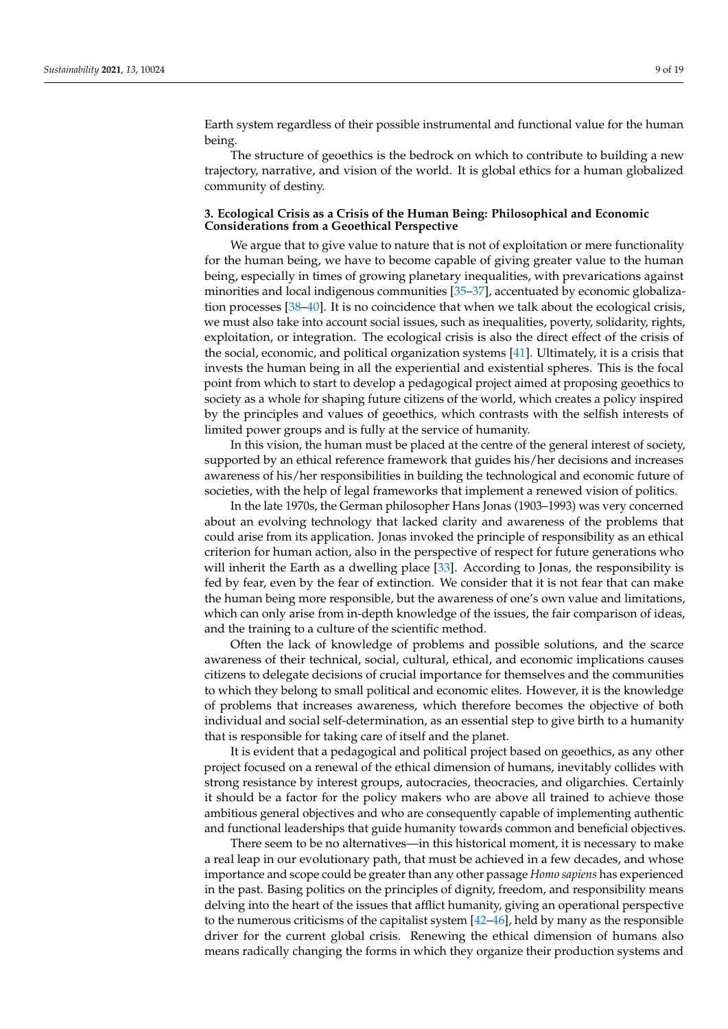Earth system regardless of their possible instrumental and functional value for the human being.

The structure of geoethics is the bedrock on which to contribute to building a new trajectory, narrative, and vision of the world. It is global ethics for a human globalized community of destiny.

#### <span id="page-8-0"></span>**3. Ecological Crisis as a Crisis of the Human Being: Philosophical and Economic Considerations from a Geoethical Perspective**

We argue that to give value to nature that is not of exploitation or mere functionality for the human being, we have to become capable of giving greater value to the human being, especially in times of growing planetary inequalities, with prevarications against minorities and local indigenous communities [\[35](#page-17-0)[–37\]](#page-17-1), accentuated by economic globalization processes [\[38](#page-17-2)[–40\]](#page-17-3). It is no coincidence that when we talk about the ecological crisis, we must also take into account social issues, such as inequalities, poverty, solidarity, rights, exploitation, or integration. The ecological crisis is also the direct effect of the crisis of the social, economic, and political organization systems [\[41\]](#page-17-4). Ultimately, it is a crisis that invests the human being in all the experiential and existential spheres. This is the focal point from which to start to develop a pedagogical project aimed at proposing geoethics to society as a whole for shaping future citizens of the world, which creates a policy inspired by the principles and values of geoethics, which contrasts with the selfish interests of limited power groups and is fully at the service of humanity.

In this vision, the human must be placed at the centre of the general interest of society, supported by an ethical reference framework that guides his/her decisions and increases awareness of his/her responsibilities in building the technological and economic future of societies, with the help of legal frameworks that implement a renewed vision of politics.

In the late 1970s, the German philosopher Hans Jonas (1903–1993) was very concerned about an evolving technology that lacked clarity and awareness of the problems that could arise from its application. Jonas invoked the principle of responsibility as an ethical criterion for human action, also in the perspective of respect for future generations who will inherit the Earth as a dwelling place [\[33\]](#page-16-18). According to Jonas, the responsibility is fed by fear, even by the fear of extinction. We consider that it is not fear that can make the human being more responsible, but the awareness of one's own value and limitations, which can only arise from in-depth knowledge of the issues, the fair comparison of ideas, and the training to a culture of the scientific method.

Often the lack of knowledge of problems and possible solutions, and the scarce awareness of their technical, social, cultural, ethical, and economic implications causes citizens to delegate decisions of crucial importance for themselves and the communities to which they belong to small political and economic elites. However, it is the knowledge of problems that increases awareness, which therefore becomes the objective of both individual and social self-determination, as an essential step to give birth to a humanity that is responsible for taking care of itself and the planet.

It is evident that a pedagogical and political project based on geoethics, as any other project focused on a renewal of the ethical dimension of humans, inevitably collides with strong resistance by interest groups, autocracies, theocracies, and oligarchies. Certainly it should be a factor for the policy makers who are above all trained to achieve those ambitious general objectives and who are consequently capable of implementing authentic and functional leaderships that guide humanity towards common and beneficial objectives.

There seem to be no alternatives—in this historical moment, it is necessary to make a real leap in our evolutionary path, that must be achieved in a few decades, and whose importance and scope could be greater than any other passage *Homo sapiens* has experienced in the past. Basing politics on the principles of dignity, freedom, and responsibility means delving into the heart of the issues that afflict humanity, giving an operational perspective to the numerous criticisms of the capitalist system [\[42–](#page-17-5)[46\]](#page-17-6), held by many as the responsible driver for the current global crisis. Renewing the ethical dimension of humans also means radically changing the forms in which they organize their production systems and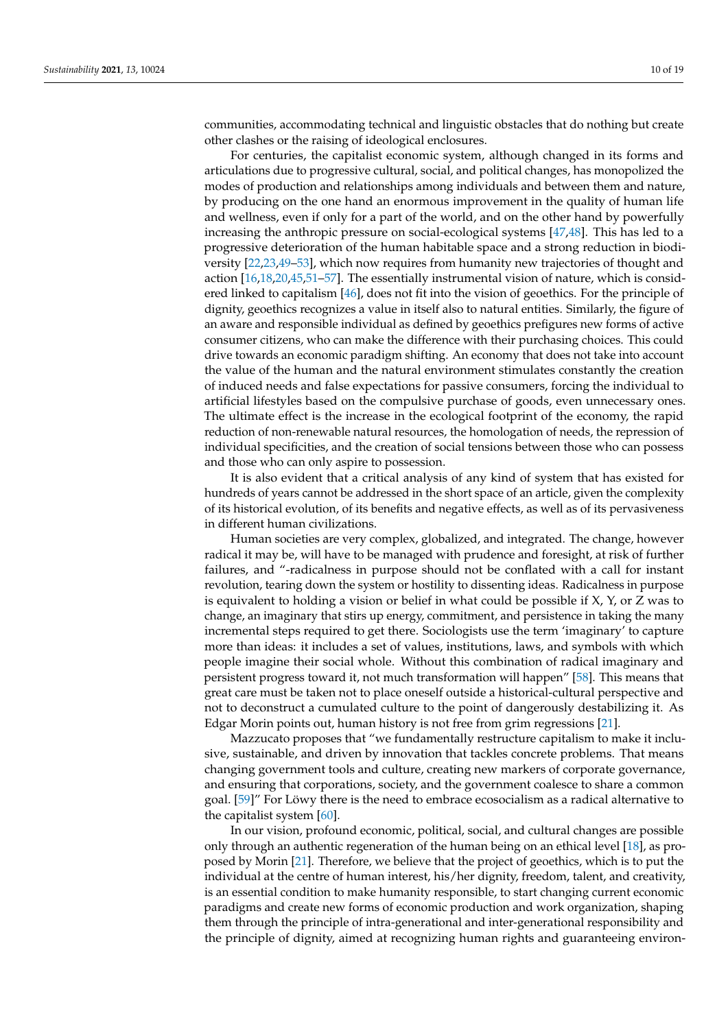communities, accommodating technical and linguistic obstacles that do nothing but create other clashes or the raising of ideological enclosures.

For centuries, the capitalist economic system, although changed in its forms and articulations due to progressive cultural, social, and political changes, has monopolized the modes of production and relationships among individuals and between them and nature, by producing on the one hand an enormous improvement in the quality of human life and wellness, even if only for a part of the world, and on the other hand by powerfully increasing the anthropic pressure on social-ecological systems [\[47,](#page-17-7)[48\]](#page-17-8). This has led to a progressive deterioration of the human habitable space and a strong reduction in biodiversity [\[22,](#page-16-5)[23,](#page-16-20)[49](#page-17-9)[–53\]](#page-17-10), which now requires from humanity new trajectories of thought and action [\[16](#page-16-0)[,18](#page-16-1)[,20](#page-16-3)[,45](#page-17-11)[,51](#page-17-12)[–57\]](#page-17-13). The essentially instrumental vision of nature, which is considered linked to capitalism [\[46\]](#page-17-6), does not fit into the vision of geoethics. For the principle of dignity, geoethics recognizes a value in itself also to natural entities. Similarly, the figure of an aware and responsible individual as defined by geoethics prefigures new forms of active consumer citizens, who can make the difference with their purchasing choices. This could drive towards an economic paradigm shifting. An economy that does not take into account the value of the human and the natural environment stimulates constantly the creation of induced needs and false expectations for passive consumers, forcing the individual to artificial lifestyles based on the compulsive purchase of goods, even unnecessary ones. The ultimate effect is the increase in the ecological footprint of the economy, the rapid reduction of non-renewable natural resources, the homologation of needs, the repression of individual specificities, and the creation of social tensions between those who can possess and those who can only aspire to possession.

It is also evident that a critical analysis of any kind of system that has existed for hundreds of years cannot be addressed in the short space of an article, given the complexity of its historical evolution, of its benefits and negative effects, as well as of its pervasiveness in different human civilizations.

Human societies are very complex, globalized, and integrated. The change, however radical it may be, will have to be managed with prudence and foresight, at risk of further failures, and "-radicalness in purpose should not be conflated with a call for instant revolution, tearing down the system or hostility to dissenting ideas. Radicalness in purpose is equivalent to holding a vision or belief in what could be possible if  $X$ ,  $Y$ , or  $Z$  was to change, an imaginary that stirs up energy, commitment, and persistence in taking the many incremental steps required to get there. Sociologists use the term 'imaginary' to capture more than ideas: it includes a set of values, institutions, laws, and symbols with which people imagine their social whole. Without this combination of radical imaginary and persistent progress toward it, not much transformation will happen" [\[58\]](#page-17-14). This means that great care must be taken not to place oneself outside a historical-cultural perspective and not to deconstruct a cumulated culture to the point of dangerously destabilizing it. As Edgar Morin points out, human history is not free from grim regressions [\[21\]](#page-16-4).

Mazzucato proposes that "we fundamentally restructure capitalism to make it inclusive, sustainable, and driven by innovation that tackles concrete problems. That means changing government tools and culture, creating new markers of corporate governance, and ensuring that corporations, society, and the government coalesce to share a common goal. [\[59\]](#page-17-15)" For Löwy there is the need to embrace ecosocialism as a radical alternative to the capitalist system  $[60]$ .

In our vision, profound economic, political, social, and cultural changes are possible only through an authentic regeneration of the human being on an ethical level [\[18\]](#page-16-1), as proposed by Morin [\[21\]](#page-16-4). Therefore, we believe that the project of geoethics, which is to put the individual at the centre of human interest, his/her dignity, freedom, talent, and creativity, is an essential condition to make humanity responsible, to start changing current economic paradigms and create new forms of economic production and work organization, shaping them through the principle of intra-generational and inter-generational responsibility and the principle of dignity, aimed at recognizing human rights and guaranteeing environ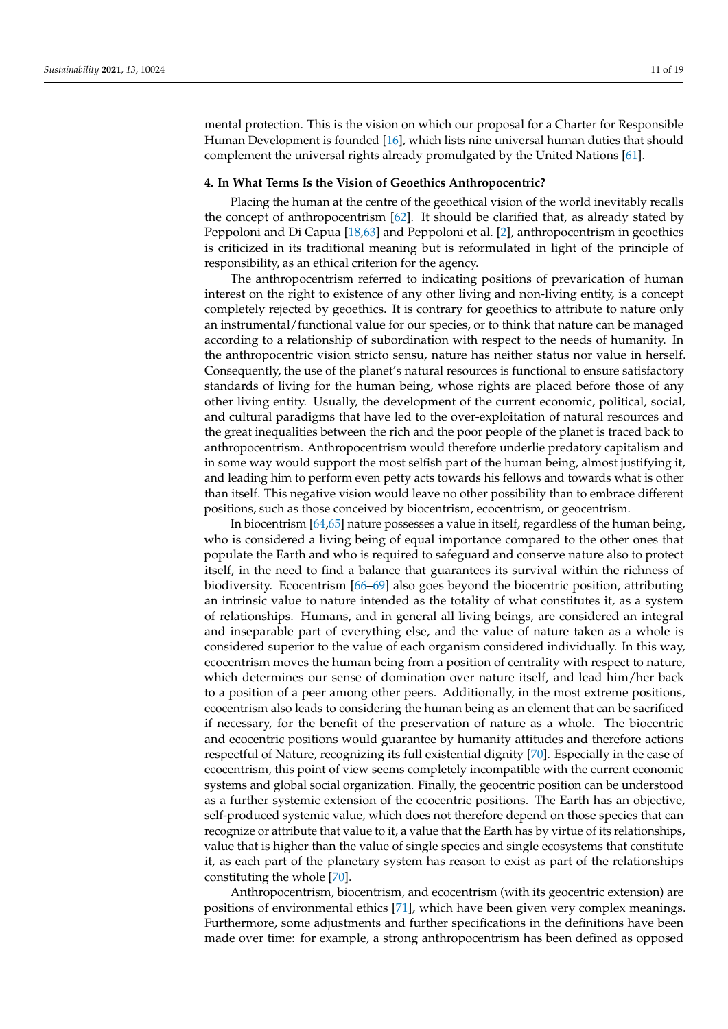mental protection. This is the vision on which our proposal for a Charter for Responsible Human Development is founded [\[16\]](#page-16-0), which lists nine universal human duties that should complement the universal rights already promulgated by the United Nations [\[61\]](#page-17-17).

## <span id="page-10-0"></span>**4. In What Terms Is the Vision of Geoethics Anthropocentric?**

Placing the human at the centre of the geoethical vision of the world inevitably recalls the concept of anthropocentrism [\[62\]](#page-18-0). It should be clarified that, as already stated by Peppoloni and Di Capua [\[18](#page-16-1)[,63\]](#page-18-1) and Peppoloni et al. [\[2\]](#page-15-1), anthropocentrism in geoethics is criticized in its traditional meaning but is reformulated in light of the principle of responsibility, as an ethical criterion for the agency.

The anthropocentrism referred to indicating positions of prevarication of human interest on the right to existence of any other living and non-living entity, is a concept completely rejected by geoethics. It is contrary for geoethics to attribute to nature only an instrumental/functional value for our species, or to think that nature can be managed according to a relationship of subordination with respect to the needs of humanity. In the anthropocentric vision stricto sensu, nature has neither status nor value in herself. Consequently, the use of the planet's natural resources is functional to ensure satisfactory standards of living for the human being, whose rights are placed before those of any other living entity. Usually, the development of the current economic, political, social, and cultural paradigms that have led to the over-exploitation of natural resources and the great inequalities between the rich and the poor people of the planet is traced back to anthropocentrism. Anthropocentrism would therefore underlie predatory capitalism and in some way would support the most selfish part of the human being, almost justifying it, and leading him to perform even petty acts towards his fellows and towards what is other than itself. This negative vision would leave no other possibility than to embrace different positions, such as those conceived by biocentrism, ecocentrism, or geocentrism.

In biocentrism [\[64,](#page-18-2)[65\]](#page-18-3) nature possesses a value in itself, regardless of the human being, who is considered a living being of equal importance compared to the other ones that populate the Earth and who is required to safeguard and conserve nature also to protect itself, in the need to find a balance that guarantees its survival within the richness of biodiversity. Ecocentrism [\[66](#page-18-4)[–69\]](#page-18-5) also goes beyond the biocentric position, attributing an intrinsic value to nature intended as the totality of what constitutes it, as a system of relationships. Humans, and in general all living beings, are considered an integral and inseparable part of everything else, and the value of nature taken as a whole is considered superior to the value of each organism considered individually. In this way, ecocentrism moves the human being from a position of centrality with respect to nature, which determines our sense of domination over nature itself, and lead him/her back to a position of a peer among other peers. Additionally, in the most extreme positions, ecocentrism also leads to considering the human being as an element that can be sacrificed if necessary, for the benefit of the preservation of nature as a whole. The biocentric and ecocentric positions would guarantee by humanity attitudes and therefore actions respectful of Nature, recognizing its full existential dignity [\[70\]](#page-18-6). Especially in the case of ecocentrism, this point of view seems completely incompatible with the current economic systems and global social organization. Finally, the geocentric position can be understood as a further systemic extension of the ecocentric positions. The Earth has an objective, self-produced systemic value, which does not therefore depend on those species that can recognize or attribute that value to it, a value that the Earth has by virtue of its relationships, value that is higher than the value of single species and single ecosystems that constitute it, as each part of the planetary system has reason to exist as part of the relationships constituting the whole [\[70\]](#page-18-6).

Anthropocentrism, biocentrism, and ecocentrism (with its geocentric extension) are positions of environmental ethics [\[71\]](#page-18-7), which have been given very complex meanings. Furthermore, some adjustments and further specifications in the definitions have been made over time: for example, a strong anthropocentrism has been defined as opposed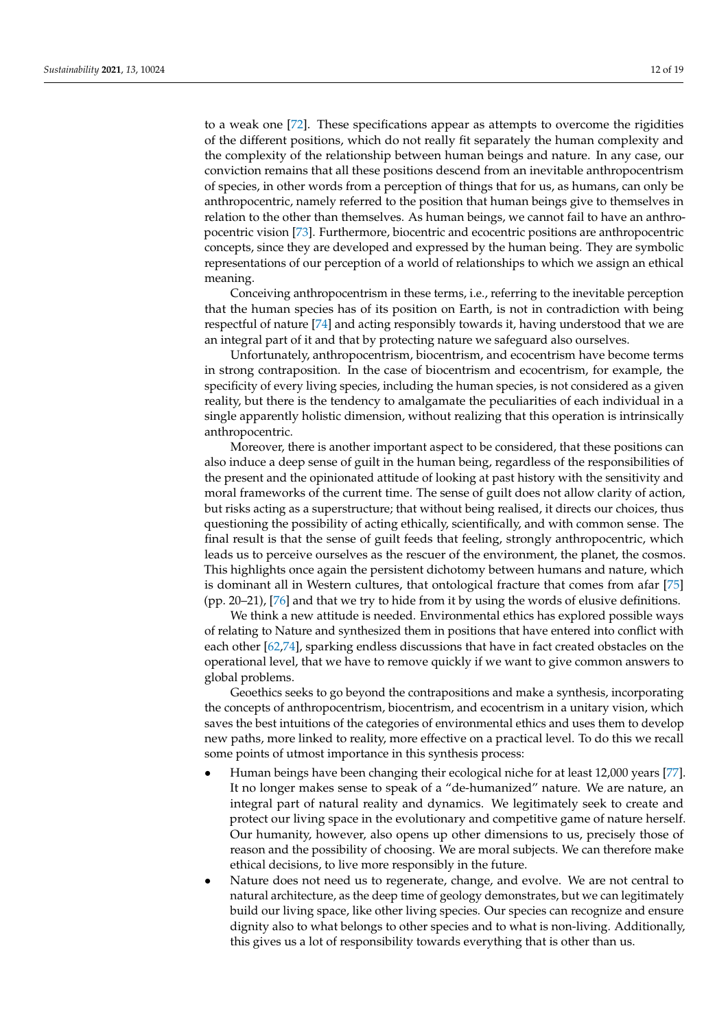to a weak one [\[72\]](#page-18-8). These specifications appear as attempts to overcome the rigidities of the different positions, which do not really fit separately the human complexity and the complexity of the relationship between human beings and nature. In any case, our conviction remains that all these positions descend from an inevitable anthropocentrism of species, in other words from a perception of things that for us, as humans, can only be anthropocentric, namely referred to the position that human beings give to themselves in relation to the other than themselves. As human beings, we cannot fail to have an anthropocentric vision [\[73\]](#page-18-9). Furthermore, biocentric and ecocentric positions are anthropocentric concepts, since they are developed and expressed by the human being. They are symbolic representations of our perception of a world of relationships to which we assign an ethical meaning.

Conceiving anthropocentrism in these terms, i.e., referring to the inevitable perception that the human species has of its position on Earth, is not in contradiction with being respectful of nature [\[74\]](#page-18-10) and acting responsibly towards it, having understood that we are an integral part of it and that by protecting nature we safeguard also ourselves.

Unfortunately, anthropocentrism, biocentrism, and ecocentrism have become terms in strong contraposition. In the case of biocentrism and ecocentrism, for example, the specificity of every living species, including the human species, is not considered as a given reality, but there is the tendency to amalgamate the peculiarities of each individual in a single apparently holistic dimension, without realizing that this operation is intrinsically anthropocentric.

Moreover, there is another important aspect to be considered, that these positions can also induce a deep sense of guilt in the human being, regardless of the responsibilities of the present and the opinionated attitude of looking at past history with the sensitivity and moral frameworks of the current time. The sense of guilt does not allow clarity of action, but risks acting as a superstructure; that without being realised, it directs our choices, thus questioning the possibility of acting ethically, scientifically, and with common sense. The final result is that the sense of guilt feeds that feeling, strongly anthropocentric, which leads us to perceive ourselves as the rescuer of the environment, the planet, the cosmos. This highlights once again the persistent dichotomy between humans and nature, which is dominant all in Western cultures, that ontological fracture that comes from afar [\[75\]](#page-18-11) (pp. 20–21), [\[76\]](#page-18-12) and that we try to hide from it by using the words of elusive definitions.

We think a new attitude is needed. Environmental ethics has explored possible ways of relating to Nature and synthesized them in positions that have entered into conflict with each other [\[62,](#page-18-0)[74\]](#page-18-10), sparking endless discussions that have in fact created obstacles on the operational level, that we have to remove quickly if we want to give common answers to global problems.

Geoethics seeks to go beyond the contrapositions and make a synthesis, incorporating the concepts of anthropocentrism, biocentrism, and ecocentrism in a unitary vision, which saves the best intuitions of the categories of environmental ethics and uses them to develop new paths, more linked to reality, more effective on a practical level. To do this we recall some points of utmost importance in this synthesis process:

- Human beings have been changing their ecological niche for at least 12,000 years [\[77\]](#page-18-13). It no longer makes sense to speak of a "de-humanized" nature. We are nature, an integral part of natural reality and dynamics. We legitimately seek to create and protect our living space in the evolutionary and competitive game of nature herself. Our humanity, however, also opens up other dimensions to us, precisely those of reason and the possibility of choosing. We are moral subjects. We can therefore make ethical decisions, to live more responsibly in the future.
- Nature does not need us to regenerate, change, and evolve. We are not central to natural architecture, as the deep time of geology demonstrates, but we can legitimately build our living space, like other living species. Our species can recognize and ensure dignity also to what belongs to other species and to what is non-living. Additionally, this gives us a lot of responsibility towards everything that is other than us.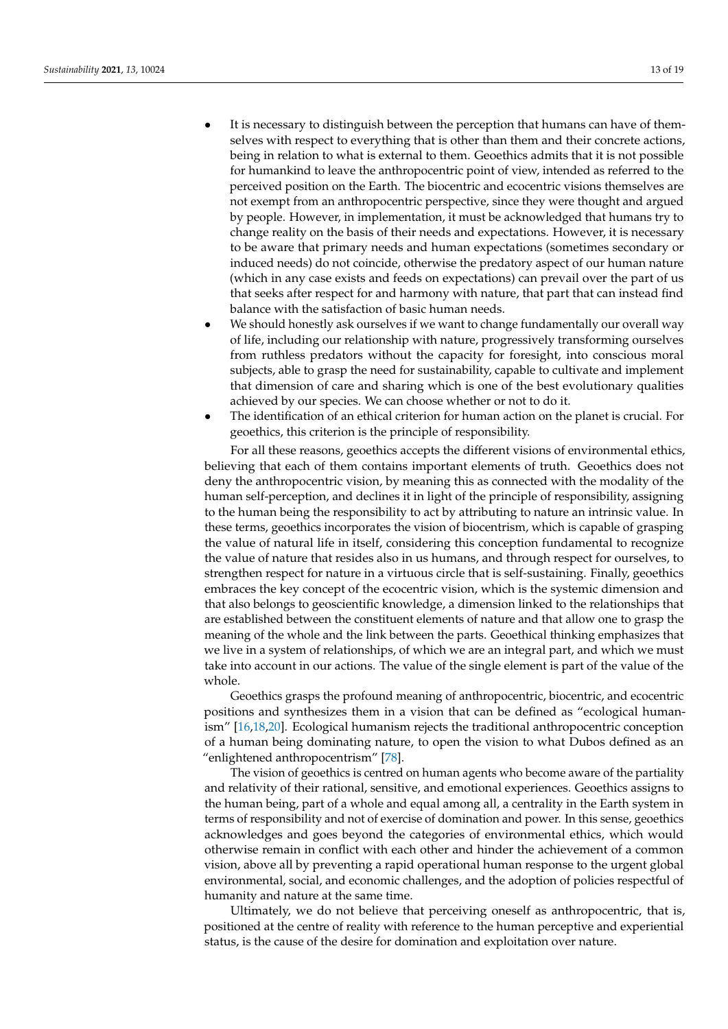- It is necessary to distinguish between the perception that humans can have of themselves with respect to everything that is other than them and their concrete actions, being in relation to what is external to them. Geoethics admits that it is not possible for humankind to leave the anthropocentric point of view, intended as referred to the perceived position on the Earth. The biocentric and ecocentric visions themselves are not exempt from an anthropocentric perspective, since they were thought and argued by people. However, in implementation, it must be acknowledged that humans try to change reality on the basis of their needs and expectations. However, it is necessary to be aware that primary needs and human expectations (sometimes secondary or induced needs) do not coincide, otherwise the predatory aspect of our human nature (which in any case exists and feeds on expectations) can prevail over the part of us that seeks after respect for and harmony with nature, that part that can instead find balance with the satisfaction of basic human needs.
- We should honestly ask ourselves if we want to change fundamentally our overall way of life, including our relationship with nature, progressively transforming ourselves from ruthless predators without the capacity for foresight, into conscious moral subjects, able to grasp the need for sustainability, capable to cultivate and implement that dimension of care and sharing which is one of the best evolutionary qualities achieved by our species. We can choose whether or not to do it.
- The identification of an ethical criterion for human action on the planet is crucial. For geoethics, this criterion is the principle of responsibility.

For all these reasons, geoethics accepts the different visions of environmental ethics, believing that each of them contains important elements of truth. Geoethics does not deny the anthropocentric vision, by meaning this as connected with the modality of the human self-perception, and declines it in light of the principle of responsibility, assigning to the human being the responsibility to act by attributing to nature an intrinsic value. In these terms, geoethics incorporates the vision of biocentrism, which is capable of grasping the value of natural life in itself, considering this conception fundamental to recognize the value of nature that resides also in us humans, and through respect for ourselves, to strengthen respect for nature in a virtuous circle that is self-sustaining. Finally, geoethics embraces the key concept of the ecocentric vision, which is the systemic dimension and that also belongs to geoscientific knowledge, a dimension linked to the relationships that are established between the constituent elements of nature and that allow one to grasp the meaning of the whole and the link between the parts. Geoethical thinking emphasizes that we live in a system of relationships, of which we are an integral part, and which we must take into account in our actions. The value of the single element is part of the value of the whole.

Geoethics grasps the profound meaning of anthropocentric, biocentric, and ecocentric positions and synthesizes them in a vision that can be defined as "ecological humanism" [\[16,](#page-16-0)[18](#page-16-1)[,20\]](#page-16-3). Ecological humanism rejects the traditional anthropocentric conception of a human being dominating nature, to open the vision to what Dubos defined as an "enlightened anthropocentrism" [\[78\]](#page-18-14).

The vision of geoethics is centred on human agents who become aware of the partiality and relativity of their rational, sensitive, and emotional experiences. Geoethics assigns to the human being, part of a whole and equal among all, a centrality in the Earth system in terms of responsibility and not of exercise of domination and power. In this sense, geoethics acknowledges and goes beyond the categories of environmental ethics, which would otherwise remain in conflict with each other and hinder the achievement of a common vision, above all by preventing a rapid operational human response to the urgent global environmental, social, and economic challenges, and the adoption of policies respectful of humanity and nature at the same time.

Ultimately, we do not believe that perceiving oneself as anthropocentric, that is, positioned at the centre of reality with reference to the human perceptive and experiential status, is the cause of the desire for domination and exploitation over nature.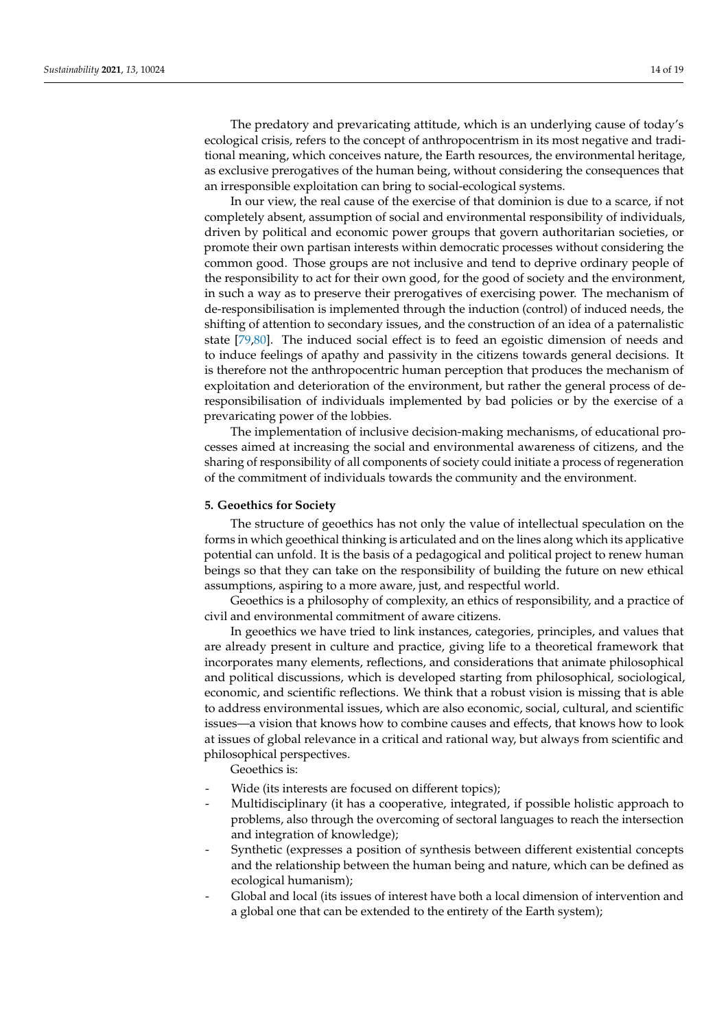The predatory and prevaricating attitude, which is an underlying cause of today's ecological crisis, refers to the concept of anthropocentrism in its most negative and traditional meaning, which conceives nature, the Earth resources, the environmental heritage, as exclusive prerogatives of the human being, without considering the consequences that an irresponsible exploitation can bring to social-ecological systems.

In our view, the real cause of the exercise of that dominion is due to a scarce, if not completely absent, assumption of social and environmental responsibility of individuals, driven by political and economic power groups that govern authoritarian societies, or promote their own partisan interests within democratic processes without considering the common good. Those groups are not inclusive and tend to deprive ordinary people of the responsibility to act for their own good, for the good of society and the environment, in such a way as to preserve their prerogatives of exercising power. The mechanism of de-responsibilisation is implemented through the induction (control) of induced needs, the shifting of attention to secondary issues, and the construction of an idea of a paternalistic state [\[79](#page-18-15)[,80\]](#page-18-16). The induced social effect is to feed an egoistic dimension of needs and to induce feelings of apathy and passivity in the citizens towards general decisions. It is therefore not the anthropocentric human perception that produces the mechanism of exploitation and deterioration of the environment, but rather the general process of deresponsibilisation of individuals implemented by bad policies or by the exercise of a prevaricating power of the lobbies.

The implementation of inclusive decision-making mechanisms, of educational processes aimed at increasing the social and environmental awareness of citizens, and the sharing of responsibility of all components of society could initiate a process of regeneration of the commitment of individuals towards the community and the environment.

## <span id="page-13-0"></span>**5. Geoethics for Society**

The structure of geoethics has not only the value of intellectual speculation on the forms in which geoethical thinking is articulated and on the lines along which its applicative potential can unfold. It is the basis of a pedagogical and political project to renew human beings so that they can take on the responsibility of building the future on new ethical assumptions, aspiring to a more aware, just, and respectful world.

Geoethics is a philosophy of complexity, an ethics of responsibility, and a practice of civil and environmental commitment of aware citizens.

In geoethics we have tried to link instances, categories, principles, and values that are already present in culture and practice, giving life to a theoretical framework that incorporates many elements, reflections, and considerations that animate philosophical and political discussions, which is developed starting from philosophical, sociological, economic, and scientific reflections. We think that a robust vision is missing that is able to address environmental issues, which are also economic, social, cultural, and scientific issues—a vision that knows how to combine causes and effects, that knows how to look at issues of global relevance in a critical and rational way, but always from scientific and philosophical perspectives.

Geoethics is:

- Wide (its interests are focused on different topics);
- Multidisciplinary (it has a cooperative, integrated, if possible holistic approach to problems, also through the overcoming of sectoral languages to reach the intersection and integration of knowledge);
- Synthetic (expresses a position of synthesis between different existential concepts and the relationship between the human being and nature, which can be defined as ecological humanism);
- Global and local (its issues of interest have both a local dimension of intervention and a global one that can be extended to the entirety of the Earth system);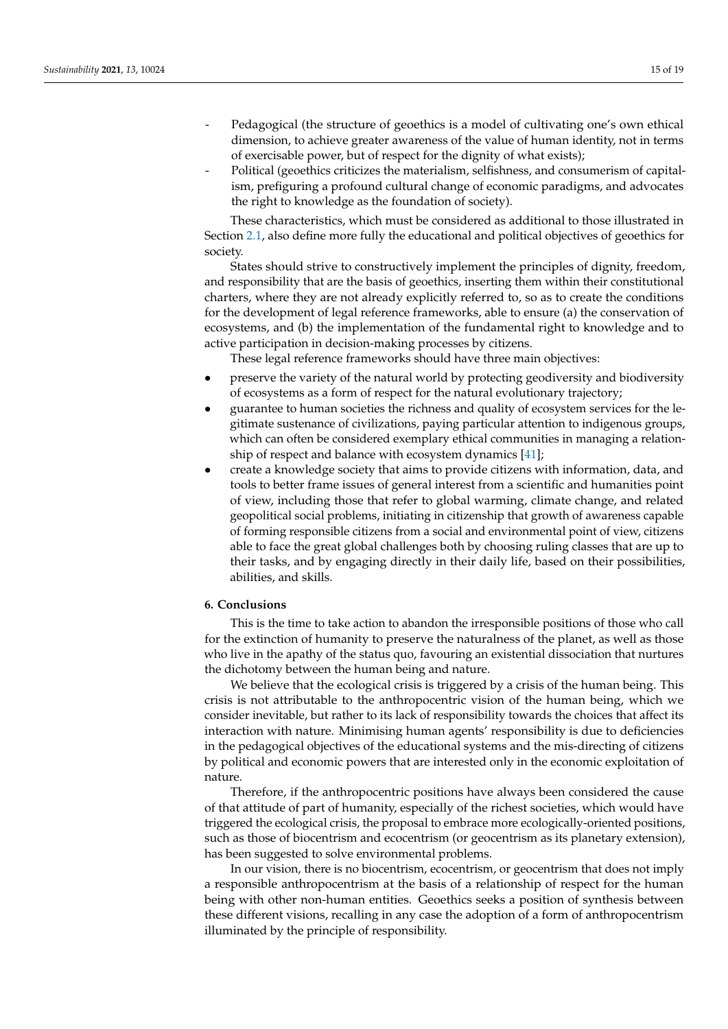- Pedagogical (the structure of geoethics is a model of cultivating one's own ethical dimension, to achieve greater awareness of the value of human identity, not in terms of exercisable power, but of respect for the dignity of what exists);
- Political (geoethics criticizes the materialism, selfishness, and consumerism of capitalism, prefiguring a profound cultural change of economic paradigms, and advocates the right to knowledge as the foundation of society).

These characteristics, which must be considered as additional to those illustrated in Section [2.1,](#page-3-0) also define more fully the educational and political objectives of geoethics for society.

States should strive to constructively implement the principles of dignity, freedom, and responsibility that are the basis of geoethics, inserting them within their constitutional charters, where they are not already explicitly referred to, so as to create the conditions for the development of legal reference frameworks, able to ensure (a) the conservation of ecosystems, and (b) the implementation of the fundamental right to knowledge and to active participation in decision-making processes by citizens.

These legal reference frameworks should have three main objectives:

- preserve the variety of the natural world by protecting geodiversity and biodiversity of ecosystems as a form of respect for the natural evolutionary trajectory;
- guarantee to human societies the richness and quality of ecosystem services for the legitimate sustenance of civilizations, paying particular attention to indigenous groups, which can often be considered exemplary ethical communities in managing a relationship of respect and balance with ecosystem dynamics [\[41\]](#page-17-4);
- create a knowledge society that aims to provide citizens with information, data, and tools to better frame issues of general interest from a scientific and humanities point of view, including those that refer to global warming, climate change, and related geopolitical social problems, initiating in citizenship that growth of awareness capable of forming responsible citizens from a social and environmental point of view, citizens able to face the great global challenges both by choosing ruling classes that are up to their tasks, and by engaging directly in their daily life, based on their possibilities, abilities, and skills.

## <span id="page-14-0"></span>**6. Conclusions**

This is the time to take action to abandon the irresponsible positions of those who call for the extinction of humanity to preserve the naturalness of the planet, as well as those who live in the apathy of the status quo, favouring an existential dissociation that nurtures the dichotomy between the human being and nature.

We believe that the ecological crisis is triggered by a crisis of the human being. This crisis is not attributable to the anthropocentric vision of the human being, which we consider inevitable, but rather to its lack of responsibility towards the choices that affect its interaction with nature. Minimising human agents' responsibility is due to deficiencies in the pedagogical objectives of the educational systems and the mis-directing of citizens by political and economic powers that are interested only in the economic exploitation of nature.

Therefore, if the anthropocentric positions have always been considered the cause of that attitude of part of humanity, especially of the richest societies, which would have triggered the ecological crisis, the proposal to embrace more ecologically-oriented positions, such as those of biocentrism and ecocentrism (or geocentrism as its planetary extension), has been suggested to solve environmental problems.

In our vision, there is no biocentrism, ecocentrism, or geocentrism that does not imply a responsible anthropocentrism at the basis of a relationship of respect for the human being with other non-human entities. Geoethics seeks a position of synthesis between these different visions, recalling in any case the adoption of a form of anthropocentrism illuminated by the principle of responsibility.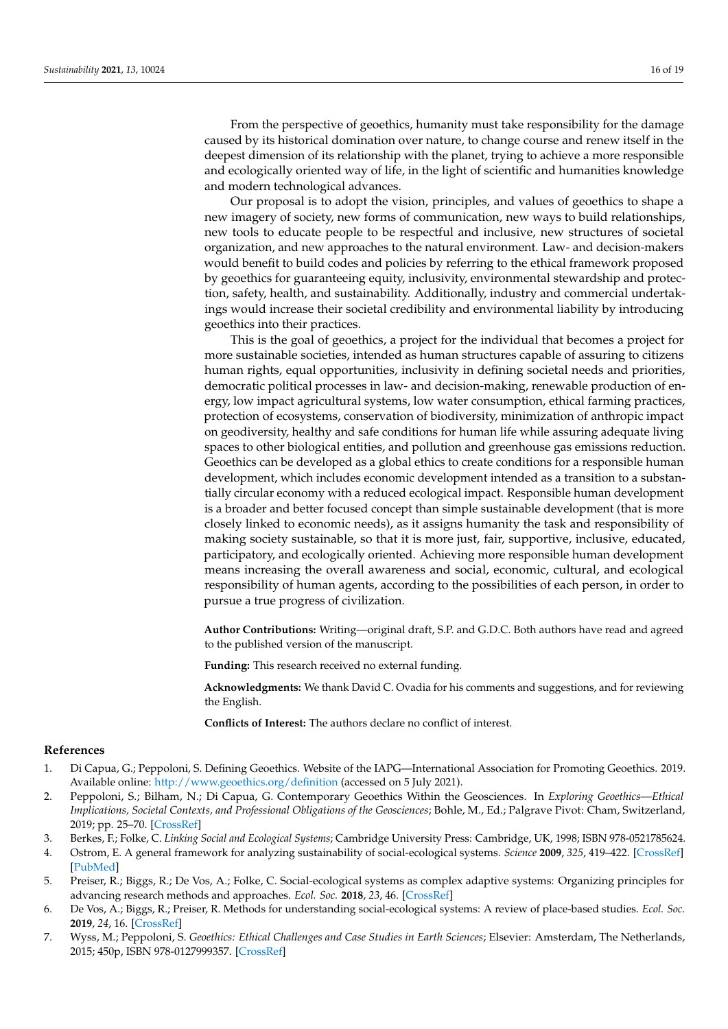From the perspective of geoethics, humanity must take responsibility for the damage caused by its historical domination over nature, to change course and renew itself in the deepest dimension of its relationship with the planet, trying to achieve a more responsible and ecologically oriented way of life, in the light of scientific and humanities knowledge and modern technological advances.

Our proposal is to adopt the vision, principles, and values of geoethics to shape a new imagery of society, new forms of communication, new ways to build relationships, new tools to educate people to be respectful and inclusive, new structures of societal organization, and new approaches to the natural environment. Law- and decision-makers would benefit to build codes and policies by referring to the ethical framework proposed by geoethics for guaranteeing equity, inclusivity, environmental stewardship and protection, safety, health, and sustainability. Additionally, industry and commercial undertakings would increase their societal credibility and environmental liability by introducing geoethics into their practices.

This is the goal of geoethics, a project for the individual that becomes a project for more sustainable societies, intended as human structures capable of assuring to citizens human rights, equal opportunities, inclusivity in defining societal needs and priorities, democratic political processes in law- and decision-making, renewable production of energy, low impact agricultural systems, low water consumption, ethical farming practices, protection of ecosystems, conservation of biodiversity, minimization of anthropic impact on geodiversity, healthy and safe conditions for human life while assuring adequate living spaces to other biological entities, and pollution and greenhouse gas emissions reduction. Geoethics can be developed as a global ethics to create conditions for a responsible human development, which includes economic development intended as a transition to a substantially circular economy with a reduced ecological impact. Responsible human development is a broader and better focused concept than simple sustainable development (that is more closely linked to economic needs), as it assigns humanity the task and responsibility of making society sustainable, so that it is more just, fair, supportive, inclusive, educated, participatory, and ecologically oriented. Achieving more responsible human development means increasing the overall awareness and social, economic, cultural, and ecological responsibility of human agents, according to the possibilities of each person, in order to pursue a true progress of civilization.

**Author Contributions:** Writing—original draft, S.P. and G.D.C. Both authors have read and agreed to the published version of the manuscript.

**Funding:** This research received no external funding.

**Acknowledgments:** We thank David C. Ovadia for his comments and suggestions, and for reviewing the English.

**Conflicts of Interest:** The authors declare no conflict of interest.

#### **References**

- <span id="page-15-0"></span>1. Di Capua, G.; Peppoloni, S. Defining Geoethics. Website of the IAPG—International Association for Promoting Geoethics. 2019. Available online: <http://www.geoethics.org/definition> (accessed on 5 July 2021).
- <span id="page-15-1"></span>2. Peppoloni, S.; Bilham, N.; Di Capua, G. Contemporary Geoethics Within the Geosciences. In *Exploring Geoethics—Ethical Implications, Societal Contexts, and Professional Obligations of the Geosciences*; Bohle, M., Ed.; Palgrave Pivot: Cham, Switzerland, 2019; pp. 25–70. [\[CrossRef\]](http://doi.org/10.1007/978-3-030-12010-8_2)
- <span id="page-15-2"></span>3. Berkes, F.; Folke, C. *Linking Social and Ecological Systems*; Cambridge University Press: Cambridge, UK, 1998; ISBN 978-0521785624.
- 4. Ostrom, E. A general framework for analyzing sustainability of social-ecological systems. *Science* **2009**, *325*, 419–422. [\[CrossRef\]](http://doi.org/10.1126/science.1172133) [\[PubMed\]](http://www.ncbi.nlm.nih.gov/pubmed/19628857)
- 5. Preiser, R.; Biggs, R.; De Vos, A.; Folke, C. Social-ecological systems as complex adaptive systems: Organizing principles for advancing research methods and approaches. *Ecol. Soc.* **2018**, *23*, 46. [\[CrossRef\]](http://doi.org/10.5751/ES-10558-230446)
- <span id="page-15-3"></span>6. De Vos, A.; Biggs, R.; Preiser, R. Methods for understanding social-ecological systems: A review of place-based studies. *Ecol. Soc.* **2019**, *24*, 16. [\[CrossRef\]](http://doi.org/10.5751/ES-11236-240416)
- <span id="page-15-4"></span>7. Wyss, M.; Peppoloni, S. *Geoethics: Ethical Challenges and Case Studies in Earth Sciences*; Elsevier: Amsterdam, The Netherlands, 2015; 450p, ISBN 978-0127999357. [\[CrossRef\]](http://doi.org/10.1016/C2013-0-09988-4)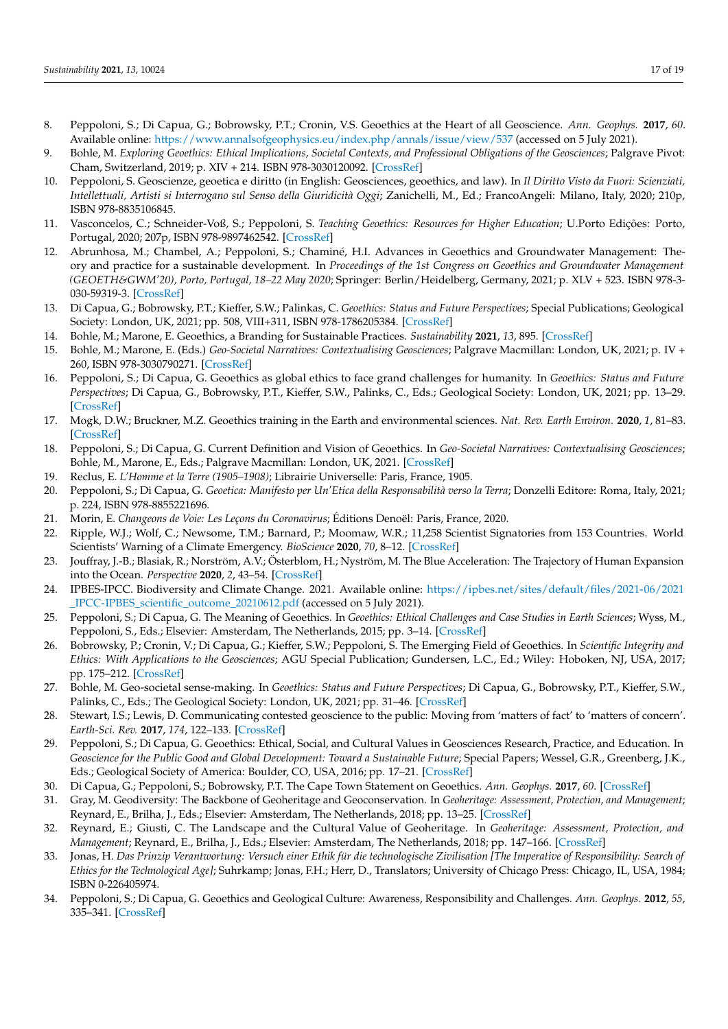- 8. Peppoloni, S.; Di Capua, G.; Bobrowsky, P.T.; Cronin, V.S. Geoethics at the Heart of all Geoscience. *Ann. Geophys.* **2017**, *60*. Available online: <https://www.annalsofgeophysics.eu/index.php/annals/issue/view/537> (accessed on 5 July 2021).
- 9. Bohle, M. *Exploring Geoethics: Ethical Implications, Societal Contexts, and Professional Obligations of the Geosciences*; Palgrave Pivot: Cham, Switzerland, 2019; p. XIV + 214. ISBN 978-3030120092. [\[CrossRef\]](http://doi.org/10.1007/978-3-030-12010-8)
- 10. Peppoloni, S. Geoscienze, geoetica e diritto (in English: Geosciences, geoethics, and law). In *Il Diritto Visto da Fuori: Scienziati, Intellettuali, Artisti si Interrogano sul Senso della Giuridicità Oggi*; Zanichelli, M., Ed.; FrancoAngeli: Milano, Italy, 2020; 210p, ISBN 978-8835106845.
- 11. Vasconcelos, C.; Schneider-Voß, S.; Peppoloni, S. *Teaching Geoethics: Resources for Higher Education*; U.Porto Edições: Porto, Portugal, 2020; 207p, ISBN 978-9897462542. [\[CrossRef\]](http://doi.org/10.24840/978-989-746-254-2)
- 12. Abrunhosa, M.; Chambel, A.; Peppoloni, S.; Chaminé, H.I. Advances in Geoethics and Groundwater Management: Theory and practice for a sustainable development. In *Proceedings of the 1st Congress on Geoethics and Groundwater Management (GEOETH&GWM'20), Porto, Portugal, 18–22 May 2020*; Springer: Berlin/Heidelberg, Germany, 2021; p. XLV + 523. ISBN 978-3- 030-59319-3. [\[CrossRef\]](http://doi.org/10.1007/978-3-030-59320-9)
- <span id="page-16-7"></span>13. Di Capua, G.; Bobrowsky, P.T.; Kieffer, S.W.; Palinkas, C. *Geoethics: Status and Future Perspectives*; Special Publications; Geological Society: London, UK, 2021; pp. 508, VIII+311, ISBN 978-1786205384. [\[CrossRef\]](http://doi.org/10.1144/SP508)
- <span id="page-16-13"></span>14. Bohle, M.; Marone, E. Geoethics, a Branding for Sustainable Practices. *Sustainability* **2021**, *13*, 895. [\[CrossRef\]](http://doi.org/10.3390/su13020895)
- 15. Bohle, M.; Marone, E. (Eds.) *Geo-Societal Narratives: Contextualising Geosciences*; Palgrave Macmillan: London, UK, 2021; p. IV + 260, ISBN 978-3030790271. [\[CrossRef\]](http://doi.org/10.1007/978-3-030-79028-8)
- <span id="page-16-0"></span>16. Peppoloni, S.; Di Capua, G. Geoethics as global ethics to face grand challenges for humanity. In *Geoethics: Status and Future Perspectives*; Di Capua, G., Bobrowsky, P.T., Kieffer, S.W., Palinks, C., Eds.; Geological Society: London, UK, 2021; pp. 13–29. [\[CrossRef\]](http://doi.org/10.1144/SP508-2020-146)
- <span id="page-16-11"></span>17. Mogk, D.W.; Bruckner, M.Z. Geoethics training in the Earth and environmental sciences. *Nat. Rev. Earth Environ.* **2020**, *1*, 81–83. [\[CrossRef\]](http://doi.org/10.1038/s43017-020-0024-3)
- <span id="page-16-1"></span>18. Peppoloni, S.; Di Capua, G. Current Definition and Vision of Geoethics. In *Geo-Societal Narratives: Contextualising Geosciences*; Bohle, M., Marone, E., Eds.; Palgrave Macmillan: London, UK, 2021. [\[CrossRef\]](http://doi.org/10.1007/978-3-030-79028-8)
- <span id="page-16-2"></span>19. Reclus, E. *L'Homme et la Terre (1905–1908)*; Librairie Universelle: Paris, France, 1905.
- <span id="page-16-3"></span>20. Peppoloni, S.; Di Capua, G. *Geoetica: Manifesto per Un'Etica della Responsabilità verso la Terra*; Donzelli Editore: Roma, Italy, 2021; p. 224, ISBN 978-8855221696.
- <span id="page-16-4"></span>21. Morin, E. *Changeons de Voie: Les Leçons du Coronavirus*; Éditions Denoël: Paris, France, 2020.
- <span id="page-16-5"></span>22. Ripple, W.J.; Wolf, C.; Newsome, T.M.; Barnard, P.; Moomaw, W.R.; 11,258 Scientist Signatories from 153 Countries. World Scientists' Warning of a Climate Emergency. *BioScience* **2020**, *70*, 8–12. [\[CrossRef\]](http://doi.org/10.1093/biosci/biz152)
- <span id="page-16-20"></span>23. Jouffray, J.-B.; Blasiak, R.; Norström, A.V.; Österblom, H.; Nyström, M. The Blue Acceleration: The Trajectory of Human Expansion into the Ocean. *Perspective* **2020**, *2*, 43–54. [\[CrossRef\]](http://doi.org/10.1016/j.oneear.2019.12.016)
- <span id="page-16-6"></span>24. IPBES-IPCC. Biodiversity and Climate Change. 2021. Available online: [https://ipbes.net/sites/default/files/2021-06/2021](https://ipbes.net/sites/default/files/2021-06/2021_IPCC-IPBES_scientific_outcome_20210612.pdf) [\\_IPCC-IPBES\\_scientific\\_outcome\\_20210612.pdf](https://ipbes.net/sites/default/files/2021-06/2021_IPCC-IPBES_scientific_outcome_20210612.pdf) (accessed on 5 July 2021).
- <span id="page-16-8"></span>25. Peppoloni, S.; Di Capua, G. The Meaning of Geoethics. In *Geoethics: Ethical Challenges and Case Studies in Earth Sciences*; Wyss, M., Peppoloni, S., Eds.; Elsevier: Amsterdam, The Netherlands, 2015; pp. 3-14. [\[CrossRef\]](http://doi.org/10.1016/B978-0-12-799935-7.00001-0)
- <span id="page-16-9"></span>26. Bobrowsky, P.; Cronin, V.; Di Capua, G.; Kieffer, S.W.; Peppoloni, S. The Emerging Field of Geoethics. In *Scientific Integrity and Ethics: With Applications to the Geosciences*; AGU Special Publication; Gundersen, L.C., Ed.; Wiley: Hoboken, NJ, USA, 2017; pp. 175–212. [\[CrossRef\]](http://doi.org/10.1002/9781119067825.ch11)
- <span id="page-16-10"></span>27. Bohle, M. Geo-societal sense-making. In *Geoethics: Status and Future Perspectives*; Di Capua, G., Bobrowsky, P.T., Kieffer, S.W., Palinks, C., Eds.; The Geological Society: London, UK, 2021; pp. 31–46. [\[CrossRef\]](http://doi.org/10.1144/SP508-2019-213)
- <span id="page-16-12"></span>28. Stewart, I.S.; Lewis, D. Communicating contested geoscience to the public: Moving from 'matters of fact' to 'matters of concern'. *Earth-Sci. Rev.* **2017**, *174*, 122–133. [\[CrossRef\]](http://doi.org/10.1016/j.earscirev.2017.09.003)
- <span id="page-16-14"></span>29. Peppoloni, S.; Di Capua, G. Geoethics: Ethical, Social, and Cultural Values in Geosciences Research, Practice, and Education. In Geoscience for the Public Good and Global Development: Toward a Sustainable Future; Special Papers; Wessel, G.R., Greenberg, J.K., Eds.; Geological Society of America: Boulder, CO, USA, 2016; pp. 17–21. [\[CrossRef\]](http://doi.org/10.1130/2016.2520(03))
- <span id="page-16-15"></span>30. Di Capua, G.; Peppoloni, S.; Bobrowsky, P.T. The Cape Town Statement on Geoethics. *Ann. Geophys.* **2017**, *60*. [\[CrossRef\]](http://doi.org/10.4401/ag-7553)
- <span id="page-16-16"></span>31. Gray, M. Geodiversity: The Backbone of Geoheritage and Geoconservation. In *Geoheritage: Assessment, Protection, and Management*; Reynard, E., Brilha, J., Eds.; Elsevier: Amsterdam, The Netherlands, 2018; pp. 13–25. [\[CrossRef\]](http://doi.org/10.1016/B978-0-12-809531-7.00001-0)
- <span id="page-16-17"></span>32. Reynard, E.; Giusti, C. The Landscape and the Cultural Value of Geoheritage. In *Geoheritage: Assessment, Protection, and Management*; Reynard, E., Brilha, J., Eds.; Elsevier: Amsterdam, The Netherlands, 2018; pp. 147–166. [\[CrossRef\]](http://doi.org/10.1016/B978-0-12-809531-7.00008-3)
- <span id="page-16-18"></span>33. Jonas, H. *Das Prinzip Verantwortung: Versuch einer Ethik für die technologische Zivilisation [The Imperative of Responsibility: Search of Ethics for the Technological Age]*; Suhrkamp; Jonas, F.H.; Herr, D., Translators; University of Chicago Press: Chicago, IL, USA, 1984; ISBN 0-226405974.
- <span id="page-16-19"></span>34. Peppoloni, S.; Di Capua, G. Geoethics and Geological Culture: Awareness, Responsibility and Challenges. *Ann. Geophys.* **2012**, *55*, 335–341. [\[CrossRef\]](http://doi.org/10.4401/ag-6099)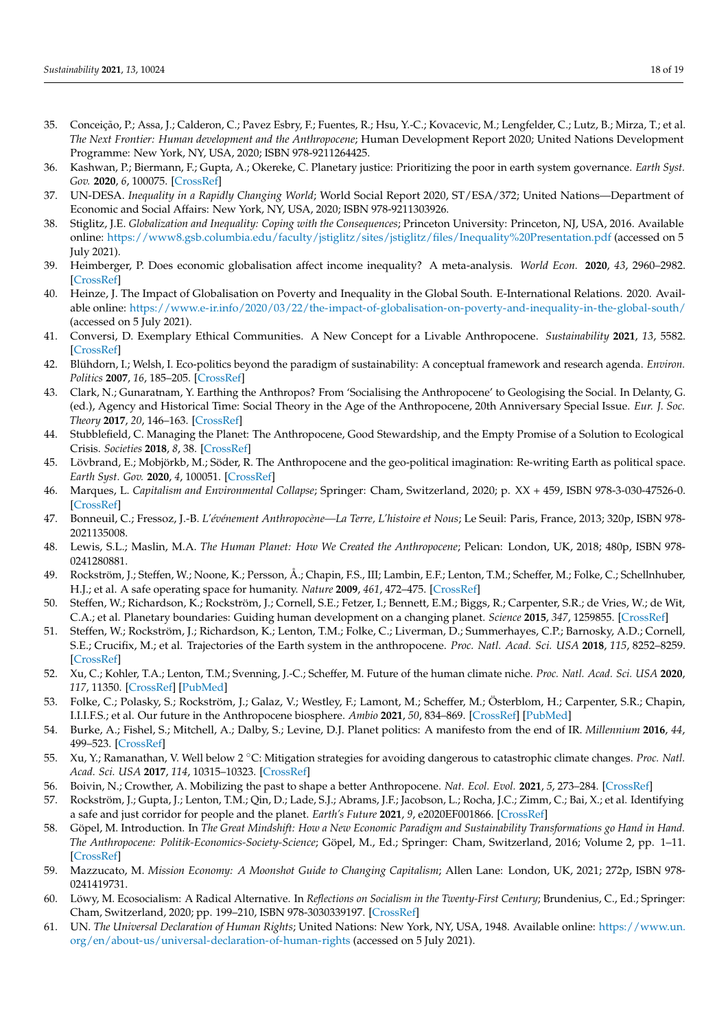- <span id="page-17-0"></span>35. Conceição, P.; Assa, J.; Calderon, C.; Pavez Esbry, F.; Fuentes, R.; Hsu, Y.-C.; Kovacevic, M.; Lengfelder, C.; Lutz, B.; Mirza, T.; et al. *The Next Frontier: Human development and the Anthropocene*; Human Development Report 2020; United Nations Development Programme: New York, NY, USA, 2020; ISBN 978-9211264425.
- 36. Kashwan, P.; Biermann, F.; Gupta, A.; Okereke, C. Planetary justice: Prioritizing the poor in earth system governance. *Earth Syst. Gov.* **2020**, *6*, 100075. [\[CrossRef\]](http://doi.org/10.1016/j.esg.2020.100075)
- <span id="page-17-1"></span>37. UN-DESA. *Inequality in a Rapidly Changing World*; World Social Report 2020, ST/ESA/372; United Nations—Department of Economic and Social Affairs: New York, NY, USA, 2020; ISBN 978-9211303926.
- <span id="page-17-2"></span>38. Stiglitz, J.E. *Globalization and Inequality: Coping with the Consequences*; Princeton University: Princeton, NJ, USA, 2016. Available online: <https://www8.gsb.columbia.edu/faculty/jstiglitz/sites/jstiglitz/files/Inequality%20Presentation.pdf> (accessed on 5 July 2021).
- 39. Heimberger, P. Does economic globalisation affect income inequality? A meta-analysis. *World Econ.* **2020**, *43*, 2960–2982. [\[CrossRef\]](http://doi.org/10.1111/twec.13007)
- <span id="page-17-3"></span>40. Heinze, J. The Impact of Globalisation on Poverty and Inequality in the Global South. E-International Relations. 2020. Available online: <https://www.e-ir.info/2020/03/22/the-impact-of-globalisation-on-poverty-and-inequality-in-the-global-south/> (accessed on 5 July 2021).
- <span id="page-17-4"></span>41. Conversi, D. Exemplary Ethical Communities. A New Concept for a Livable Anthropocene. *Sustainability* **2021**, *13*, 5582. [\[CrossRef\]](http://doi.org/10.3390/su13105582)
- <span id="page-17-5"></span>42. Blühdorn, I.; Welsh, I. Eco-politics beyond the paradigm of sustainability: A conceptual framework and research agenda. *Environ. Politics* **2007**, *16*, 185–205. [\[CrossRef\]](http://doi.org/10.1080/09644010701211650)
- 43. Clark, N.; Gunaratnam, Y. Earthing the Anthropos? From 'Socialising the Anthropocene' to Geologising the Social. In Delanty, G. (ed.), Agency and Historical Time: Social Theory in the Age of the Anthropocene, 20th Anniversary Special Issue. *Eur. J. Soc. Theory* **2017**, *20*, 146–163. [\[CrossRef\]](http://doi.org/10.1177/1368431016661337)
- 44. Stubblefield, C. Managing the Planet: The Anthropocene, Good Stewardship, and the Empty Promise of a Solution to Ecological Crisis. *Societies* **2018**, *8*, 38. [\[CrossRef\]](http://doi.org/10.3390/soc8020038)
- <span id="page-17-11"></span>45. Lövbrand, E.; Mobjörkb, M.; Söder, R. The Anthropocene and the geo-political imagination: Re-writing Earth as political space. *Earth Syst. Gov.* **2020**, *4*, 100051. [\[CrossRef\]](http://doi.org/10.1016/j.esg.2020.100051)
- <span id="page-17-6"></span>46. Marques, L. *Capitalism and Environmental Collapse*; Springer: Cham, Switzerland, 2020; p. XX + 459, ISBN 978-3-030-47526-0. [\[CrossRef\]](http://doi.org/10.1007/978-3-030-47527-7)
- <span id="page-17-7"></span>47. Bonneuil, C.; Fressoz, J.-B. *L'événement Anthropocène—La Terre, L'histoire et Nous*; Le Seuil: Paris, France, 2013; 320p, ISBN 978- 2021135008.
- <span id="page-17-8"></span>48. Lewis, S.L.; Maslin, M.A. *The Human Planet: How We Created the Anthropocene*; Pelican: London, UK, 2018; 480p, ISBN 978- 0241280881.
- <span id="page-17-9"></span>49. Rockström, J.; Steffen, W.; Noone, K.; Persson, Å.; Chapin, F.S., III; Lambin, E.F.; Lenton, T.M.; Scheffer, M.; Folke, C.; Schellnhuber, H.J.; et al. A safe operating space for humanity. *Nature* **2009**, *461*, 472–475. [\[CrossRef\]](http://doi.org/10.1038/461472a)
- 50. Steffen, W.; Richardson, K.; Rockström, J.; Cornell, S.E.; Fetzer, I.; Bennett, E.M.; Biggs, R.; Carpenter, S.R.; de Vries, W.; de Wit, C.A.; et al. Planetary boundaries: Guiding human development on a changing planet. *Science* **2015**, *347*, 1259855. [\[CrossRef\]](http://doi.org/10.1126/science.1259855)
- <span id="page-17-12"></span>51. Steffen, W.; Rockström, J.; Richardson, K.; Lenton, T.M.; Folke, C.; Liverman, D.; Summerhayes, C.P.; Barnosky, A.D.; Cornell, S.E.; Crucifix, M.; et al. Trajectories of the Earth system in the anthropocene. *Proc. Natl. Acad. Sci. USA* **2018**, *115*, 8252–8259. [\[CrossRef\]](http://doi.org/10.1073/pnas.1810141115)
- 52. Xu, C.; Kohler, T.A.; Lenton, T.M.; Svenning, J.-C.; Scheffer, M. Future of the human climate niche. *Proc. Natl. Acad. Sci. USA* **2020**, *117*, 11350. [\[CrossRef\]](http://doi.org/10.1073/pnas.1910114117) [\[PubMed\]](http://www.ncbi.nlm.nih.gov/pubmed/32366654)
- <span id="page-17-10"></span>53. Folke, C.; Polasky, S.; Rockström, J.; Galaz, V.; Westley, F.; Lamont, M.; Scheffer, M.; Österblom, H.; Carpenter, S.R.; Chapin, I.I.I.F.S.; et al. Our future in the Anthropocene biosphere. *Ambio* **2021**, *50*, 834–869. [\[CrossRef\]](http://doi.org/10.1007/s13280-021-01544-8) [\[PubMed\]](http://www.ncbi.nlm.nih.gov/pubmed/33715097)
- 54. Burke, A.; Fishel, S.; Mitchell, A.; Dalby, S.; Levine, D.J. Planet politics: A manifesto from the end of IR. *Millennium* **2016**, *44*, 499–523. [\[CrossRef\]](http://doi.org/10.1177/0305829816636674)
- 55. Xu, Y.; Ramanathan, V. Well below 2 ◦C: Mitigation strategies for avoiding dangerous to catastrophic climate changes. *Proc. Natl. Acad. Sci. USA* **2017**, *114*, 10315–10323. [\[CrossRef\]](http://doi.org/10.1073/pnas.1618481114)
- 56. Boivin, N.; Crowther, A. Mobilizing the past to shape a better Anthropocene. *Nat. Ecol. Evol.* **2021**, *5*, 273–284. [\[CrossRef\]](http://doi.org/10.1038/s41559-020-01361-4)
- <span id="page-17-13"></span>57. Rockström, J.; Gupta, J.; Lenton, T.M.; Qin, D.; Lade, S.J.; Abrams, J.F.; Jacobson, L.; Rocha, J.C.; Zimm, C.; Bai, X.; et al. Identifying a safe and just corridor for people and the planet. *Earth's Future* **2021**, *9*, e2020EF001866. [\[CrossRef\]](http://doi.org/10.1029/2020EF001866)
- <span id="page-17-14"></span>58. Göpel, M. Introduction. In *The Great Mindshift: How a New Economic Paradigm and Sustainability Transformations go Hand in Hand. The Anthropocene: Politik-Economics-Society-Science*; Göpel, M., Ed.; Springer: Cham, Switzerland, 2016; Volume 2, pp. 1–11. [\[CrossRef\]](http://doi.org/10.1007/978-3-319-43766-8_1)
- <span id="page-17-15"></span>59. Mazzucato, M. *Mission Economy: A Moonshot Guide to Changing Capitalism*; Allen Lane: London, UK, 2021; 272p, ISBN 978- 0241419731.
- <span id="page-17-16"></span>60. Löwy, M. Ecosocialism: A Radical Alternative. In *Reflections on Socialism in the Twenty-First Century*; Brundenius, C., Ed.; Springer: Cham, Switzerland, 2020; pp. 199–210, ISBN 978-3030339197. [\[CrossRef\]](http://doi.org/10.1007/978-3-030-33920-3_10)
- <span id="page-17-17"></span>61. UN. *The Universal Declaration of Human Rights*; United Nations: New York, NY, USA, 1948. Available online: [https://www.un.](https://www.un.org/en/about-us/universal-declaration-of-human-rights) [org/en/about-us/universal-declaration-of-human-rights](https://www.un.org/en/about-us/universal-declaration-of-human-rights) (accessed on 5 July 2021).